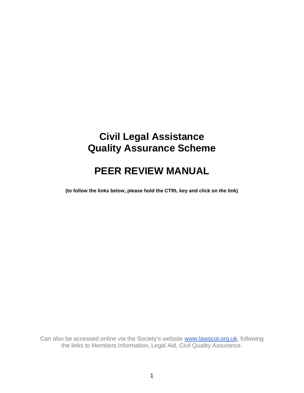# **Civil Legal Assistance Quality Assurance Scheme**

# **PEER REVIEW MANUAL**

**(to follow the links below, please hold the CTRL key and click on the link)**

Can also be accessed online via the Society's website [www.lawscot.org.uk,](http://www.lawscot.org.uk/) following the links to Members Information, Legal Aid, Civil Quality Assurance.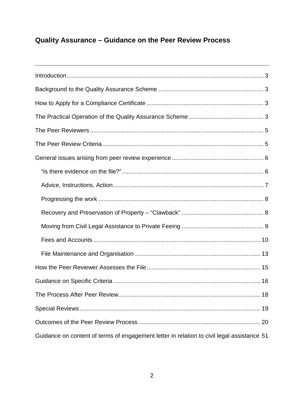# **Quality Assurance – Guidance on the Peer Review Process**

| Guidance on content of terms of engagement letter in relation to civil legal assistance 51 |
|--------------------------------------------------------------------------------------------|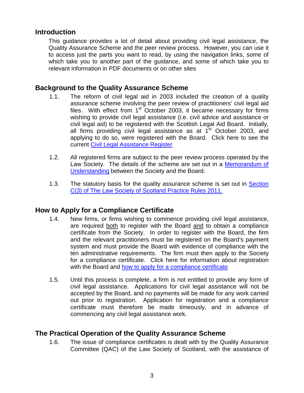# <span id="page-2-0"></span>**Introduction**

This guidance provides a lot of detail about providing civil legal assistance, the Quality Assurance Scheme and the peer review process. However, you can use it to access just the parts you want to read, by using the navigation links, some of which take you to another part of the guidance, and some of which take you to relevant information in PDF documents or on other sites

# <span id="page-2-1"></span>**Background to the Quality Assurance Scheme**

- 1.1. The reform of civil legal aid in 2003 included the creation of a quality assurance scheme involving the peer review of practitioners' civil legal aid files. With effect from  $1<sup>st</sup>$  October 2003, it became necessary for firms wishing to provide civil legal assistance (i.e. civil advice and assistance or civil legal aid) to be registered with the Scottish Legal Aid Board. Initially, all firms providing civil legal assistance as at  $1<sup>st</sup>$  October 2003, and applying to do so, were registered with the Board. Click here to see the current [Civil Legal Assistance Register.](http://www.slab.org.uk/export/sites/default/common/documents/getting_legal_help/register/Civil_Register.pdf)
- 1.2. All registered firms are subject to the peer review process operated by the Law Society. The details of the scheme are set out in a Memorandum of Understanding between the Society and the Board.
- 1.3. The statutory basis for the quality assurance scheme is set out in Section [C\(3\) of The Law Society of Scotland Practice Rules 2011.](http://www.lawscot.org.uk/rules-and-guidance/section-c-specialities/rule-c3-civil-legal-aid/rules/c3-civil-legal-aid/)

# <span id="page-2-2"></span>**How to Apply for a Compliance Certificate**

- 1.4. New firms, or firms wishing to commence providing civil legal assistance, are required both to register with the Board and to obtain a compliance certificate from the Society. In order to register with the Board, the firm and the relevant practitioners must be registered on the Board's payment system and must provide the Board with evidence of compliance with the ten administrative requirements. The firm must then apply to the Society for a compliance certificate. Click here for information about registration with the Board and [how to apply for a compliance certificate.](#page-48-0)
- 1.5. Until this process is complete, a firm is not entitled to provide any form of civil legal assistance. Applications for civil legal assistance will not be accepted by the Board, and no payments will be made for any work carried out prior to registration. Application for registration and a compliance certificate must therefore be made timeously, and in advance of commencing any civil legal assistance work.

# <span id="page-2-3"></span>**The Practical Operation of the Quality Assurance Scheme**

1.6. The issue of compliance certificates is dealt with by the Quality Assurance Committee (QAC) of the Law Society of Scotland, with the assistance of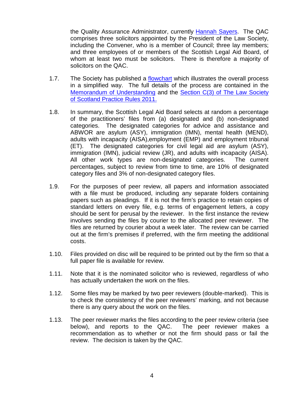the Quality Assurance Administrator, currently [Hannah Sayers.](mailto:hannahsayers@lawscot.org.uk) The QAC comprises three solicitors appointed by the President of the Law Society, including the Convener, who is a member of Council; three lay members; and three employees of or members of the Scottish Legal Aid Board, of whom at least two must be solicitors. There is therefore a majority of solicitors on the QAC.

- 1.7. The Society has published a flowchart which illustrates the overall process in a simplified way. The full details of the process are contained in the Memorandum of Understanding and the [Section C\(3\) of The Law Society](http://www.lawscot.org.uk/rules-and-guidance/section-c-specialities/rule-c3-civil-legal-aid/rules/c3-civil-legal-aid/)  [of Scotland Practice Rules 2011.](http://www.lawscot.org.uk/rules-and-guidance/section-c-specialities/rule-c3-civil-legal-aid/rules/c3-civil-legal-aid/)
- 1.8. In summary, the Scottish Legal Aid Board selects at random a percentage of the practitioners' files from (a) designated and (b) non-designated categories. The designated categories for advice and assistance and ABWOR are asylum (ASY), immigration (IMN), mental health (MEND), adults with incapacity (AISA),employment (EMP) and employment tribunal (ET). The designated categories for civil legal aid are asylum (ASY), immigration (IMN), judicial review (JR), and adults with incapacity (AISA). All other work types are non-designated categories. The current percentages, subject to review from time to time, are 10% of designated category files and 3% of non-designated category files.
- 1.9. For the purposes of peer review, all papers and information associated with a file must be produced, including any separate folders containing papers such as pleadings. If it is not the firm's practice to retain copies of standard letters on every file, e.g. terms of engagement letters, a copy should be sent for perusal by the reviewer. In the first instance the review involves sending the files by courier to the allocated peer reviewer. The files are returned by courier about a week later. The review can be carried out at the firm's premises if preferred, with the firm meeting the additional costs.
- 1.10. Files provided on disc will be required to be printed out by the firm so that a full paper file is available for review.
- 1.11. Note that it is the nominated solicitor who is reviewed, regardless of who has actually undertaken the work on the files.
- 1.12. Some files may be marked by two peer reviewers (double-marked). This is to check the consistency of the peer reviewers' marking, and not because there is any query about the work on the files.
- 1.13. The peer reviewer marks the files according to the peer review criteria (see below), and reports to the QAC. The peer reviewer makes a recommendation as to whether or not the firm should pass or fail the review. The decision is taken by the QAC.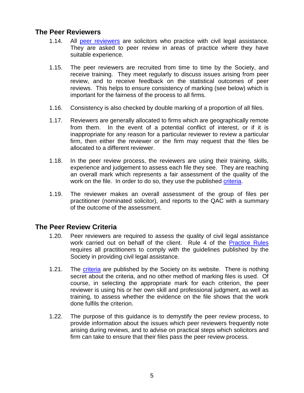# <span id="page-4-0"></span>**The Peer Reviewers**

- 1.14. All peer reviewers are solicitors who practice with civil legal assistance. They are asked to peer review in areas of practice where they have suitable experience.
- 1.15. The peer reviewers are recruited from time to time by the Society, and receive training. They meet regularly to discuss issues arising from peer review, and to receive feedback on the statistical outcomes of peer reviews. This helps to ensure consistency of marking (see below) which is important for the fairness of the process to all firms.
- 1.16. Consistency is also checked by double marking of a proportion of all files.
- 1.17. Reviewers are generally allocated to firms which are geographically remote from them. In the event of a potential conflict of interest, or if it is inappropriate for any reason for a particular reviewer to review a particular firm, then either the reviewer or the firm may request that the files be allocated to a different reviewer.
- 1.18. In the peer review process, the reviewers are using their training, skills, experience and judgement to assess each file they see. They are reaching an overall mark which represents a fair assessment of the quality of the work on the file. In order to do so, they use the published [criteria.](http://www.lawscot.org.uk/rules-and-guidance/section-c-specialities/rule-c3-civil-legal-aid/guidance/c3-peer-review-criteria-guidance/)
- 1.19. The reviewer makes an overall assessment of the group of files per practitioner (nominated solicitor), and reports to the QAC with a summary of the outcome of the assessment.

# <span id="page-4-1"></span>**The Peer Review Criteria**

- 1.20. Peer reviewers are required to assess the quality of civil legal assistance work carried out on behalf of the client. Rule 4 of the [Practice Rules](http://www.lawscot.org.uk/rules-and-guidance/section-c-specialities/rule-c3-civil-legal-aid/rules/c3-civil-legal-aid/) requires all practitioners to comply with the guidelines published by the Society in providing civil legal assistance.
- 1.21. The [criteria](http://www.lawscot.org.uk/rules-and-guidance/section-c-specialities/rule-c3-civil-legal-aid/guidance/c3-peer-review-criteria-guidance/) are published by the Society on its website. There is nothing secret about the criteria, and no other method of marking files is used. Of course, in selecting the appropriate mark for each criterion, the peer reviewer is using his or her own skill and professional judgment, as well as training, to assess whether the evidence on the file shows that the work done fulfils the criterion.
- 1.22. The purpose of this guidance is to demystify the peer review process, to provide information about the issues which peer reviewers frequently note arising during reviews, and to advise on practical steps which solicitors and firm can take to ensure that their files pass the peer review process.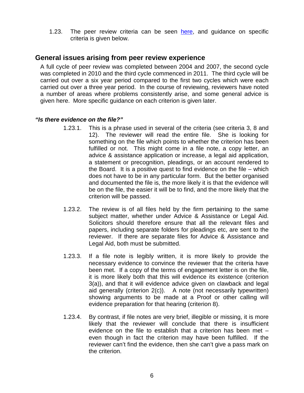1.23. The peer review criteria can be seen [here,](http://www.lawscot.org.uk/rules-and-guidance/section-c-specialities/rule-c3-civil-legal-aid/guidance/c3-peer-review-criteria-guidance/) and guidance on specific criteria is given below.

# <span id="page-5-0"></span>**General issues arising from peer review experience**

A full cycle of peer review was completed between 2004 and 2007, the second cycle was completed in 2010 and the third cycle commenced in 2011. The third cycle will be carried out over a six year period compared to the first two cycles which were each carried out over a three year period. In the course of reviewing, reviewers have noted a number of areas where problems consistently arise, and some general advice is given here. More specific guidance on each criterion is given later.

# <span id="page-5-1"></span>*"Is there evidence on the file?"*

- 1.23.1. This is a phrase used in several of the criteria (see criteria 3, 8 and 12). The reviewer will read the entire file. She is looking for something on the file which points to whether the criterion has been fulfilled or not. This might come in a file note, a copy letter, an advice & assistance application or increase, a legal aid application, a statement or precognition, pleadings, or an account rendered to the Board. It is a positive quest to find evidence on the file – which does not have to be in any particular form. But the better organised and documented the file is, the more likely it is that the evidence will be on the file, the easier it will be to find, and the more likely that the criterion will be passed.
- 1.23.2. The review is of all files held by the firm pertaining to the same subject matter, whether under Advice & Assistance or Legal Aid. Solicitors should therefore ensure that all the relevant files and papers, including separate folders for pleadings etc, are sent to the reviewer. If there are separate files for Advice & Assistance and Legal Aid, both must be submitted.
- 1.23.3. If a file note is legibly written, it is more likely to provide the necessary evidence to convince the reviewer that the criteria have been met. If a copy of the terms of engagement letter is on the file, it is more likely both that this will evidence its existence (criterion 3(a)), and that it will evidence advice given on clawback and legal aid generally (criterion 2(c)). A note (not necessarily typewritten) showing arguments to be made at a Proof or other calling will evidence preparation for that hearing (criterion 8).
- 1.23.4. By contrast, if file notes are very brief, illegible or missing, it is more likely that the reviewer will conclude that there is insufficient evidence on the file to establish that a criterion has been met – even though in fact the criterion may have been fulfilled. If the reviewer can't find the evidence, then she can't give a pass mark on the criterion.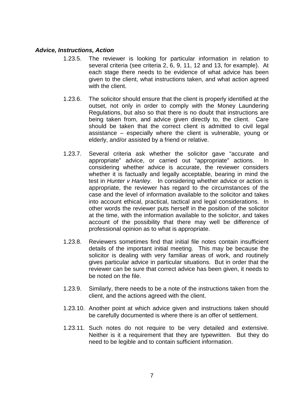# <span id="page-6-0"></span>*Advice, Instructions, Action*

- 1.23.5. The reviewer is looking for particular information in relation to several criteria (see criteria 2, 6, 9, 11, 12 and 13, for example). At each stage there needs to be evidence of what advice has been given to the client, what instructions taken, and what action agreed with the client.
- 1.23.6. The solicitor should ensure that the client is properly identified at the outset, not only in order to comply with the Money Laundering Regulations, but also so that there is no doubt that instructions are being taken from, and advice given directly to, the client. Care should be taken that the correct client is admitted to civil legal assistance – especially where the client is vulnerable, young or elderly, and/or assisted by a friend or relative.
- 1.23.7. Several criteria ask whether the solicitor gave "accurate and appropriate" advice, or carried out "appropriate" actions. In considering whether advice is accurate, the reviewer considers whether it is factually and legally acceptable, bearing in mind the test in *Hunter v Hanley*. In considering whether advice or action is appropriate, the reviewer has regard to the circumstances of the case and the level of information available to the solicitor and takes into account ethical, practical, tactical and legal considerations. In other words the reviewer puts herself in the position of the solicitor at the time, with the information available to the solicitor, and takes account of the possibility that there may well be difference of professional opinion as to what is appropriate.
- 1.23.8. Reviewers sometimes find that initial file notes contain insufficient details of the important initial meeting. This may be because the solicitor is dealing with very familiar areas of work, and routinely gives particular advice in particular situations. But in order that the reviewer can be sure that correct advice has been given, it needs to be noted on the file.
- 1.23.9. Similarly, there needs to be a note of the instructions taken from the client, and the actions agreed with the client.
- 1.23.10. Another point at which advice given and instructions taken should be carefully documented is where there is an offer of settlement.
- 1.23.11. Such notes do not require to be very detailed and extensive. Neither is it a requirement that they are typewritten. But they do need to be legible and to contain sufficient information.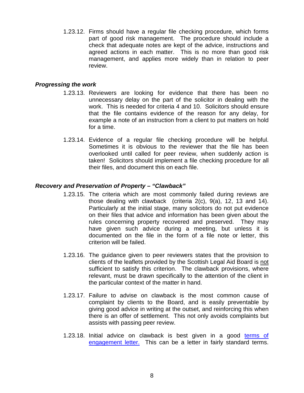1.23.12. Firms should have a regular file checking procedure, which forms part of good risk management. The procedure should include a check that adequate notes are kept of the advice, instructions and agreed actions in each matter. This is no more than good risk management, and applies more widely than in relation to peer review.

#### <span id="page-7-0"></span>*Progressing the work*

- 1.23.13. Reviewers are looking for evidence that there has been no unnecessary delay on the part of the solicitor in dealing with the work. This is needed for criteria 4 and 10. Solicitors should ensure that the file contains evidence of the reason for any delay, for example a note of an instruction from a client to put matters on hold for a time.
- 1.23.14. Evidence of a regular file checking procedure will be helpful. Sometimes it is obvious to the reviewer that the file has been overlooked until called for peer review, when suddenly action is taken! Solicitors should implement a file checking procedure for all their files, and document this on each file.

# <span id="page-7-1"></span>*Recovery and Preservation of Property – "Clawback"*

- 1.23.15. The criteria which are most commonly failed during reviews are those dealing with clawback (criteria 2(c), 9(a), 12, 13 and 14). Particularly at the initial stage, many solicitors do not put evidence on their files that advice and information has been given about the rules concerning property recovered and preserved. They may have given such advice during a meeting, but unless it is documented on the file in the form of a file note or letter, this criterion will be failed.
- 1.23.16. The guidance given to peer reviewers states that the provision to clients of the leaflets provided by the Scottish Legal Aid Board is not sufficient to satisfy this criterion. The clawback provisions, where relevant, must be drawn specifically to the attention of the client in the particular context of the matter in hand.
- 1.23.17. Failure to advise on clawback is the most common cause of complaint by clients to the Board, and is easily preventable by giving good advice in writing at the outset, and reinforcing this when there is an offer of settlement. This not only avoids complaints but assists with passing peer review.
- 1.23.18. Initial advice on clawback is best given in a good terms of [engagement letter.](#page-49-0) This can be a letter in fairly standard terms.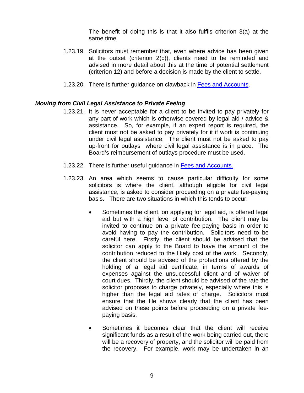The benefit of doing this is that it also fulfils criterion 3(a) at the same time.

- 1.23.19. Solicitors must remember that, even where advice has been given at the outset (criterion 2(c)), clients need to be reminded and advised in more detail about this at the time of potential settlement (criterion 12) and before a decision is made by the client to settle.
- 1.23.20. There is further guidance on clawback in [Fees and Accounts.](#page-9-0)

# <span id="page-8-0"></span>*Moving from Civil Legal Assistance to Private Feeing*

- 1.23.21. It is never acceptable for a client to be invited to pay privately for any part of work which is otherwise covered by legal aid / advice & assistance. So, for example, if an expert report is required, the client must not be asked to pay privately for it if work is continuing under civil legal assistance. The client must not be asked to pay up-front for outlays where civil legal assistance is in place. The Board's reimbursement of outlays procedure must be used.
- 1.23.22. There is further useful guidance in [Fees and Accounts.](#page-9-0)
- 1.23.23. An area which seems to cause particular difficulty for some solicitors is where the client, although eligible for civil legal assistance, is asked to consider proceeding on a private fee-paying basis. There are two situations in which this tends to occur:
	- Sometimes the client, on applying for legal aid, is offered legal aid but with a high level of contribution. The client may be invited to continue on a private fee-paying basis in order to avoid having to pay the contribution. Solicitors need to be careful here. Firstly, the client should be advised that the solicitor can apply to the Board to have the amount of the contribution reduced to the likely cost of the work. Secondly, the client should be advised of the protections offered by the holding of a legal aid certificate, in terms of awards of expenses against the unsuccessful client and of waiver of court dues. Thirdly, the client should be advised of the rate the solicitor proposes to charge privately, especially where this is higher than the legal aid rates of charge. Solicitors must ensure that the file shows clearly that the client has been advised on these points before proceeding on a private feepaying basis.
	- Sometimes it becomes clear that the client will receive significant funds as a result of the work being carried out, there will be a recovery of property, and the solicitor will be paid from the recovery. For example, work may be undertaken in an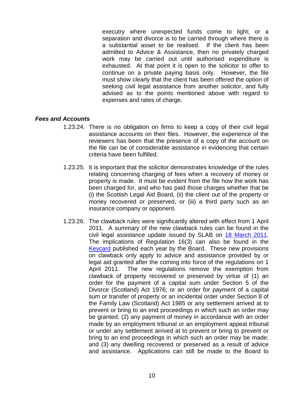executry where unexpected funds come to light; or a separation and divorce is to be carried through where there is a substantial asset to be realised. If the client has been admitted to Advice & Assistance, then no privately charged work may be carried out until authorised expenditure is exhausted. At that point it is open to the solicitor to offer to continue on a private paying basis only. However, the file must show clearly that the client has been offered the option of seeking civil legal assistance from another solicitor, and fully advised as to the points mentioned above with regard to expenses and rates of charge.

# <span id="page-9-0"></span>*Fees and Accounts*

- 1.23.24. There is no obligation on firms to keep a copy of their civil legal assistance accounts on their files. However, the experience of the reviewers has been that the presence of a copy of the account on the file can be of considerable assistance in evidencing that certain criteria have been fulfilled.
- 1.23.25. It is important that the solicitor demonstrates knowledge of the rules relating concerning charging of fees when a recovery of money or property is made. It must be evident from the file how the work has been charged for, and who has paid those charges whether that be (i) the Scottish Legal Aid Board, (ii) the client out of the property or money recovered or preserved, or (iii) a third party such as an insurance company or opponent.
- 1.23.26. The clawback rules were significantly altered with effect from 1 April 2011. A summary of the new clawback rules can be found in the civil legal assistance update issued by SLAB on [18 March 2011.](http://www.slab.org.uk/common/documents/profession/mailshots/2011/SECOND_CIVIL_PACKAGE_-_FINAL_VERSION_-_18_MAR_2011.pdf) The implications of Regulation 16(3) can also be found in the [Keycard](http://www.slab.org.uk/export/sites/default/common/documents/profession/documents/AxA_and_Civil_Keycard_2015.pdf) published each year by the Board. These new provisions on clawback only apply to advice and assistance provided by or legal aid granted after the coming into force of the regulations on 1 April 2011. The new regulations remove the exemption from clawback of property recovered or preserved by virtue of (1) an order for the payment of a capital sum under Section 5 of the Divorce (Scotland) Act 1976; or an order for payment of a capital sum or transfer of property or an incidental order under Section 8 of the Family Law (Scotland) Act 1985 or any settlement arrived at to prevent or bring to an end proceedings in which such an order may be granted; (2) any payment of money in accordance with an order made by an employment tribunal or an employment appeal tribunal or under any settlement arrived at to prevent or bring to prevent or bring to an end proceedings in which such an order may be made; and (3) any dwelling recovered or preserved as a result of advice and assistance. Applications can still be made to the Board to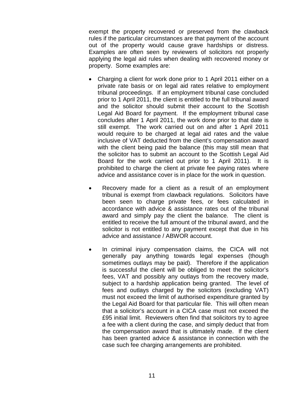exempt the property recovered or preserved from the clawback rules if the particular circumstances are that payment of the account out of the property would cause grave hardships or distress. Examples are often seen by reviewers of solicitors not properly applying the legal aid rules when dealing with recovered money or property. Some examples are:

- Charging a client for work done prior to 1 April 2011 either on a private rate basis or on legal aid rates relative to employment tribunal proceedings. If an employment tribunal case concluded prior to 1 April 2011, the client is entitled to the full tribunal award and the solicitor should submit their account to the Scottish Legal Aid Board for payment. If the employment tribunal case concludes after 1 April 2011, the work done prior to that date is still exempt. The work carried out on and after 1 April 2011 would require to be charged at legal aid rates and the value inclusive of VAT deducted from the client's compensation award with the client being paid the balance (this may still mean that the solicitor has to submit an account to the Scottish Legal Aid Board for the work carried out prior to 1 April 2011). It is prohibited to charge the client at private fee paying rates where advice and assistance cover is in place for the work in question.
- Recovery made for a client as a result of an employment tribunal is exempt from clawback regulations. Solicitors have been seen to charge private fees, or fees calculated in accordance with advice & assistance rates out of the tribunal award and simply pay the client the balance. The client is entitled to receive the full amount of the tribunal award, and the solicitor is not entitled to any payment except that due in his advice and assistance / ABWOR account.
- In criminal injury compensation claims, the CICA will not generally pay anything towards legal expenses (though sometimes outlays may be paid). Therefore if the application is successful the client will be obliged to meet the solicitor's fees, VAT and possibly any outlays from the recovery made, subject to a hardship application being granted. The level of fees and outlays charged by the solicitors (excluding VAT) must not exceed the limit of authorised expenditure granted by the Legal Aid Board for that particular file. This will often mean that a solicitor's account in a CICA case must not exceed the £95 initial limit. Reviewers often find that solicitors try to agree a fee with a client during the case, and simply deduct that from the compensation award that is ultimately made. If the client has been granted advice & assistance in connection with the case such fee charging arrangements are prohibited.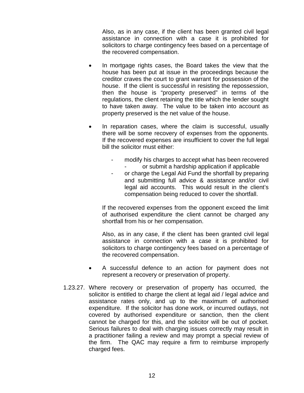Also, as in any case, if the client has been granted civil legal assistance in connection with a case it is prohibited for solicitors to charge contingency fees based on a percentage of the recovered compensation.

- In mortgage rights cases, the Board takes the view that the house has been put at issue in the proceedings because the creditor craves the court to grant warrant for possession of the house. If the client is successful in resisting the repossession, then the house is "property preserved" in terms of the regulations, the client retaining the title which the lender sought to have taken away. The value to be taken into account as property preserved is the net value of the house.
- In reparation cases, where the claim is successful, usually there will be some recovery of expenses from the opponents. If the recovered expenses are insufficient to cover the full legal bill the solicitor must either:
	- modify his charges to accept what has been recovered or submit a hardship application if applicable
	- or charge the Legal Aid Fund the shortfall by preparing and submitting full advice & assistance and/or civil legal aid accounts. This would result in the client's compensation being reduced to cover the shortfall.

If the recovered expenses from the opponent exceed the limit of authorised expenditure the client cannot be charged any shortfall from his or her compensation.

Also, as in any case, if the client has been granted civil legal assistance in connection with a case it is prohibited for solicitors to charge contingency fees based on a percentage of the recovered compensation.

- A successful defence to an action for payment does not represent a recovery or preservation of property.
- 1.23.27. Where recovery or preservation of property has occurred, the solicitor is entitled to charge the client at legal aid / legal advice and assistance rates only, and up to the maximum of authorised expenditure. If the solicitor has done work, or incurred outlays, not covered by authorised expenditure or sanction, then the client cannot be charged for this, and the solicitor will be out of pocket. Serious failures to deal with charging issues correctly may result in a practitioner failing a review and may prompt a special review of the firm. The QAC may require a firm to reimburse improperly charged fees.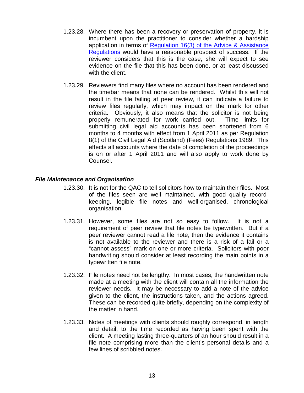- 1.23.28. Where there has been a recovery or preservation of property, it is incumbent upon the practitioner to consider whether a hardship application in terms of [Regulation 16\(3\) of the Advice & Assistance](http://www.slab.org.uk/handbooks/Legislation%20master%20copy/wwhelp/wwhimpl/common/html/wwhelp.htm#href=AA/AA%20(Scotland)%20Regulations%201996.html&single=true)  [Regulations](http://www.slab.org.uk/handbooks/Legislation%20master%20copy/wwhelp/wwhimpl/common/html/wwhelp.htm#href=AA/AA%20(Scotland)%20Regulations%201996.html&single=true) would have a reasonable prospect of success. If the reviewer considers that this is the case, she will expect to see evidence on the file that this has been done, or at least discussed with the client.
- 1.23.29. Reviewers find many files where no account has been rendered and the timebar means that none can be rendered. Whilst this will not result in the file failing at peer review, it can indicate a failure to review files regularly, which may impact on the mark for other criteria. Obviously, it also means that the solicitor is not being properly remunerated for work carried out. Time limits for submitting civil legal aid accounts has been shortened from 6 months to 4 months with effect from 1 April 2011 as per Regulation 8(1) of the Civil Legal Aid (Scotland) (Fees) Regulations 1989. This effects all accounts where the date of completion of the proceedings is on or after 1 April 2011 and will also apply to work done by Counsel.

# <span id="page-12-0"></span>*File Maintenance and Organisation*

- 1.23.30. It is not for the QAC to tell solicitors how to maintain their files. Most of the files seen are well maintained, with good quality recordkeeping, legible file notes and well-organised, chronological organisation.
- 1.23.31. However, some files are not so easy to follow. It is not a requirement of peer review that file notes be typewritten. But if a peer reviewer cannot read a file note, then the evidence it contains is not available to the reviewer and there is a risk of a fail or a "cannot assess" mark on one or more criteria. Solicitors with poor handwriting should consider at least recording the main points in a typewritten file note.
- 1.23.32. File notes need not be lengthy. In most cases, the handwritten note made at a meeting with the client will contain all the information the reviewer needs. It may be necessary to add a note of the advice given to the client, the instructions taken, and the actions agreed. These can be recorded quite briefly, depending on the complexity of the matter in hand.
- 1.23.33. Notes of meetings with clients should roughly correspond, in length and detail, to the time recorded as having been spent with the client. A meeting lasting three-quarters of an hour should result in a file note comprising more than the client's personal details and a few lines of scribbled notes.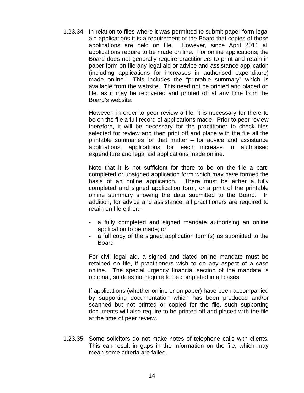1.23.34. In relation to files where it was permitted to submit paper form legal aid applications it is a requirement of the Board that copies of those applications are held on file. However, since April 2011 all applications require to be made on line. For online applications, the Board does not generally require practitioners to print and retain in paper form on file any legal aid or advice and assistance application (including applications for increases in authorised expenditure) made online. This includes the "printable summary" which is available from the website. This need not be printed and placed on file, as it may be recovered and printed off at any time from the Board's website.

> However, in order to peer review a file, it is necessary for there to be on the file a full record of applications made. Prior to peer review therefore, it will be necessary for the practitioner to check files selected for review and then print off and place with the file all the printable summaries for that matter – for advice and assistance applications, applications for each increase in authorised expenditure and legal aid applications made online.

> Note that it is not sufficient for there to be on the file a partcompleted or unsigned application form which may have formed the basis of an online application. There must be either a fully completed and signed application form, or a print of the printable online summary showing the data submitted to the Board. In addition, for advice and assistance, all practitioners are required to retain on file either:-

- a fully completed and signed mandate authorising an online application to be made; or
- a full copy of the signed application form(s) as submitted to the Board

For civil legal aid, a signed and dated online mandate must be retained on file, if practitioners wish to do any aspect of a case online. The special urgency financial section of the mandate is optional, so does not require to be completed in all cases.

If applications (whether online or on paper) have been accompanied by supporting documentation which has been produced and/or scanned but not printed or copied for the file, such supporting documents will also require to be printed off and placed with the file at the time of peer review.

1.23.35. Some solicitors do not make notes of telephone calls with clients. This can result in gaps in the information on the file, which may mean some criteria are failed.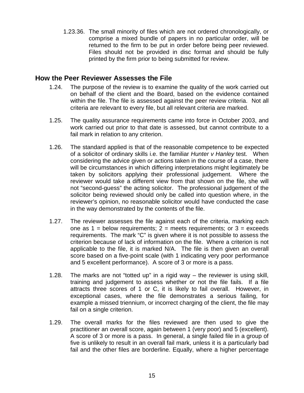1.23.36. The small minority of files which are not ordered chronologically, or comprise a mixed bundle of papers in no particular order, will be returned to the firm to be put in order before being peer reviewed. Files should not be provided in disc format and should be fully printed by the firm prior to being submitted for review.

# <span id="page-14-0"></span>**How the Peer Reviewer Assesses the File**

- 1.24. The purpose of the review is to examine the quality of the work carried out on behalf of the client and the Board, based on the evidence contained within the file. The file is assessed against the peer review criteria. Not all criteria are relevant to every file, but all relevant criteria are marked.
- 1.25. The quality assurance requirements came into force in October 2003, and work carried out prior to that date is assessed, but cannot contribute to a fail mark in relation to any criterion.
- 1.26. The standard applied is that of the reasonable competence to be expected of a solicitor of ordinary skills i.e. the familiar *Hunter v Hanley* test. When considering the advice given or actions taken in the course of a case, there will be circumstances in which differing interpretations might legitimately be taken by solicitors applying their professional judgement. Where the reviewer would take a different view from that shown on the file, she will not "second-guess" the acting solicitor. The professional judgement of the solicitor being reviewed should only be called into question where, in the reviewer's opinion, no reasonable solicitor would have conducted the case in the way demonstrated by the contents of the file.
- 1.27. The reviewer assesses the file against each of the criteria, marking each one as  $1 =$  below requirements;  $2 =$  meets requirements; or  $3 =$  exceeds requirements. The mark "C" is given where it is not possible to assess the criterion because of lack of information on the file. Where a criterion is not applicable to the file, it is marked N/A. The file is then given an overall score based on a five-point scale (with 1 indicating very poor performance and 5 excellent performance). A score of 3 or more is a pass.
- 1.28. The marks are not "totted up" in a rigid way the reviewer is using skill, training and judgement to assess whether or not the file fails. If a file attracts three scores of 1 or C, it is likely to fail overall. However, in exceptional cases, where the file demonstrates a serious failing, for example a missed triennium, or incorrect charging of the client, the file may fail on a single criterion.
- 1.29. The overall marks for the files reviewed are then used to give the practitioner an overall score, again between 1 (very poor) and 5 (excellent). A score of 3 or more is a pass. In general, a single failed file in a group of five is unlikely to result in an overall fail mark, unless it is a particularly bad fail and the other files are borderline. Equally, where a higher percentage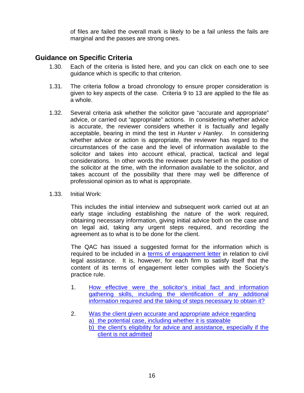of files are failed the overall mark is likely to be a fail unless the fails are marginal and the passes are strong ones.

# <span id="page-15-0"></span>**Guidance on Specific Criteria**

- 1.30. Each of the criteria is listed here, and you can click on each one to see guidance which is specific to that criterion.
- 1.31. The criteria follow a broad chronology to ensure proper consideration is given to key aspects of the case. Criteria 9 to 13 are applied to the file as a whole.
- 1.32. Several criteria ask whether the solicitor gave "accurate and appropriate" advice, or carried out "appropriate" actions. In considering whether advice is accurate, the reviewer considers whether it is factually and legally acceptable, bearing in mind the test in *Hunter v Hanley*. In considering whether advice or action is appropriate, the reviewer has regard to the circumstances of the case and the level of information available to the solicitor and takes into account ethical, practical, tactical and legal considerations. In other words the reviewer puts herself in the position of the solicitor at the time, with the information available to the solicitor, and takes account of the possibility that there may well be difference of professional opinion as to what is appropriate.
- 1.33. Initial Work:

This includes the initial interview and subsequent work carried out at an early stage including establishing the nature of the work required, obtaining necessary information, giving initial advice both on the case and on legal aid, taking any urgent steps required, and recording the agreement as to what is to be done for the client.

The QAC has issued a suggested format for the information which is required to be included in a [terms of engagement letter](#page-49-0) in relation to civil legal assistance. It is, however, for each firm to satisfy itself that the content of its terms of engagement letter complies with the Society's practice rule.

- 1. How effective were the solicitor's initial fact and information gathering skills, including the identification of any additional information required and the taking of steps necessary to obtain it?
- 2. Was the client given accurate and appropriate advice regarding a) the potential case, including whether it is stateable b) the client's eligibility for advice and assistance, especially if the client is not admitted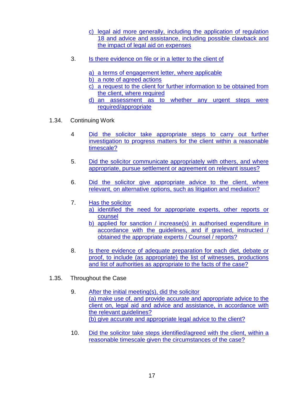- c) legal aid more generally, including the application of regulation 18 and advice and assistance, including possible clawback and the impact of legal aid on expenses
- 3. Is there evidence on file or in a letter to the client of
	- a) a terms of engagement letter, where applicable
	- b) a note of agreed actions
	- c) a request to the client for further information to be obtained from the client, where required
	- d) an assessment as to whether any urgent steps were required/appropriate
- 1.34. Continuing Work
	- 4 Did the solicitor take appropriate steps to carry out further investigation to progress matters for the client within a reasonable timescale?
	- 5. Did the solicitor communicate appropriately with others, and where appropriate, pursue settlement or agreement on relevant issues?
	- 6. Did the solicitor give appropriate advice to the client, where relevant, on alternative options, such as litigation and mediation?
	- 7. Has the solicitor a) identified the need for appropriate experts, other reports or counsel
		- b) applied for sanction / increase(s) in authorised expenditure in accordance with the guidelines, and if granted, instructed / obtained the appropriate experts / Counsel / reports?
	- 8. Is there evidence of adequate preparation for each diet, debate or proof, to include (as appropriate) the list of witnesses, productions and list of authorities as appropriate to the facts of the case?
- 1.35. Throughout the Case
	- 9. After the initial meeting(s), did the solicitor (a) make use of, and provide accurate and appropriate advice to the client on, legal aid and advice and assistance, in accordance with the relevant guidelines? (b) give accurate and appropriate legal advice to the client?
	- 10. Did the solicitor take steps identified/agreed with the client, within a reasonable timescale given the circumstances of the case?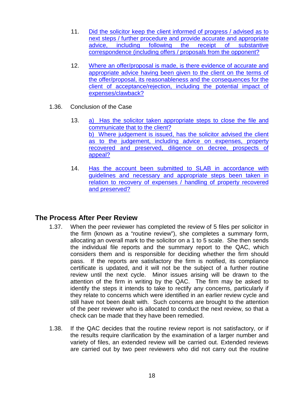- 11. Did the solicitor keep the client informed of progress / advised as to next steps / further procedure and provide accurate and appropriate advice, including following the receipt of substantive correspondence (including offers / proposals from the opponent?
- 12. Where an offer/proposal is made, is there evidence of accurate and appropriate advice having been given to the client on the terms of the offer/proposal, its reasonableness and the consequences for the client of acceptance/rejection, including the potential impact of expenses/clawback?
- 1.36. Conclusion of the Case
	- 13. a) Has the solicitor taken appropriate steps to close the file and communicate that to the client? b) Where judgement is issued, has the solicitor advised the client as to the judgement, including advice on expenses, property recovered and preserved, diligence on decree, prospects of appeal?
	- 14. Has the account been submitted to SLAB in accordance with guidelines and necessary and appropriate steps been taken in relation to recovery of expenses / handling of property recovered and preserved?

# <span id="page-17-0"></span>**The Process After Peer Review**

- 1.37. When the peer reviewer has completed the review of 5 files per solicitor in the firm (known as a "routine review"), she completes a summary form, allocating an overall mark to the solicitor on a 1 to 5 scale. She then sends the individual file reports and the summary report to the QAC, which considers them and is responsible for deciding whether the firm should pass. If the reports are satisfactory the firm is notified, its compliance certificate is updated, and it will not be the subject of a further routine review until the next cycle. Minor issues arising will be drawn to the attention of the firm in writing by the QAC. The firm may be asked to identify the steps it intends to take to rectify any concerns, particularly if they relate to concerns which were identified in an earlier review cycle and still have not been dealt with. Such concerns are brought to the attention of the peer reviewer who is allocated to conduct the next review, so that a check can be made that they have been remedied.
- 1.38. If the QAC decides that the routine review report is not satisfactory, or if the results require clarification by the examination of a larger number and variety of files, an extended review will be carried out. Extended reviews are carried out by two peer reviewers who did not carry out the routine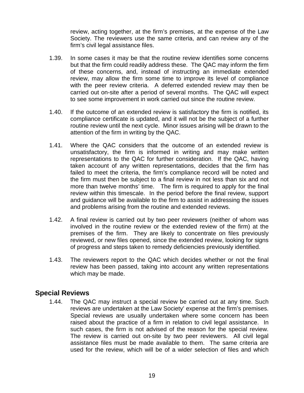review, acting together, at the firm's premises, at the expense of the Law Society. The reviewers use the same criteria, and can review any of the firm's civil legal assistance files.

- 1.39. In some cases it may be that the routine review identifies some concerns but that the firm could readily address these. The QAC may inform the firm of these concerns, and, instead of instructing an immediate extended review, may allow the firm some time to improve its level of compliance with the peer review criteria. A deferred extended review may then be carried out on-site after a period of several months. The QAC will expect to see some improvement in work carried out since the routine review.
- 1.40. If the outcome of an extended review is satisfactory the firm is notified, its compliance certificate is updated, and it will not be the subject of a further routine review until the next cycle. Minor issues arising will be drawn to the attention of the firm in writing by the QAC.
- 1.41. Where the QAC considers that the outcome of an extended review is unsatisfactory, the firm is informed in writing and may make written representations to the QAC for further consideration. If the QAC, having taken account of any written representations, decides that the firm has failed to meet the criteria, the firm's compliance record will be noted and the firm must then be subject to a final review in not less than six and not more than twelve months' time. The firm is required to apply for the final review within this timescale. In the period before the final review, support and guidance will be available to the firm to assist in addressing the issues and problems arising from the routine and extended reviews.
- 1.42. A final review is carried out by two peer reviewers (neither of whom was involved in the routine review or the extended review of the firm) at the premises of the firm. They are likely to concentrate on files previously reviewed, or new files opened, since the extended review, looking for signs of progress and steps taken to remedy deficiencies previously identified.
- 1.43. The reviewers report to the QAC which decides whether or not the final review has been passed, taking into account any written representations which may be made.

# <span id="page-18-0"></span>**Special Reviews**

1.44. The QAC may instruct a special review be carried out at any time. Such reviews are undertaken at the Law Society' expense at the firm's premises. Special reviews are usually undertaken where some concern has been raised about the practice of a firm in relation to civil legal assistance. In such cases, the firm is not advised of the reason for the special review. The review is carried out on-site by two peer reviewers. All civil legal assistance files must be made available to them. The same criteria are used for the review, which will be of a wider selection of files and which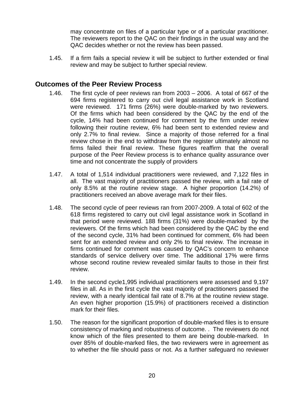may concentrate on files of a particular type or of a particular practitioner. The reviewers report to the QAC on their findings in the usual way and the QAC decides whether or not the review has been passed.

1.45. If a firm fails a special review it will be subject to further extended or final review and may be subject to further special review.

# <span id="page-19-0"></span>**Outcomes of the Peer Review Process**

- 1.46. The first cycle of peer reviews ran from 2003 2006. A total of 667 of the 694 firms registered to carry out civil legal assistance work in Scotland were reviewed. 171 firms (26%) were double-marked by two reviewers. Of the firms which had been considered by the QAC by the end of the cycle, 14% had been continued for comment by the firm under review following their routine review, 6% had been sent to extended review and only 2.7% to final review. Since a majority of those referred for a final review chose in the end to withdraw from the register ultimately almost no firms failed their final review. These figures reaffirm that the overall purpose of the Peer Review process is to enhance quality assurance over time and not concentrate the supply of providers
- 1.47. A total of 1,514 individual practitioners were reviewed, and 7,122 files in all. The vast majority of practitioners passed the review, with a fail rate of only 8.5% at the routine review stage. A higher proportion (14.2%) of practitioners received an above average mark for their files.
- 1.48. The second cycle of peer reviews ran from 2007-2009. A total of 602 of the 618 firms registered to carry out civil legal assistance work in Scotland in that period were reviewed. 188 firms (31%) were double-marked by the reviewers. Of the firms which had been considered by the QAC by the end of the second cycle, 31% had been continued for comment, 6% had been sent for an extended review and only 2% to final review. The increase in firms continued for comment was caused by QAC's concern to enhance standards of service delivery over time. The additional 17% were firms whose second routine review revealed similar faults to those in their first review.
- 1.49. In the second cycle1,995 individual practitioners were assessed and 9,197 files in all. As in the first cycle the vast majority of practitioners passed the review, with a nearly identical fail rate of 8.7% at the routine review stage. An even higher proportion (15.9%) of practitioners received a distinction mark for their files.
- 1.50. The reason for the significant proportion of double-marked files is to ensure consistency of marking and robustness of outcome. . The reviewers do not know which of the files presented to them are being double-marked. In over 85% of double-marked files, the two reviewers were in agreement as to whether the file should pass or not. As a further safeguard no reviewer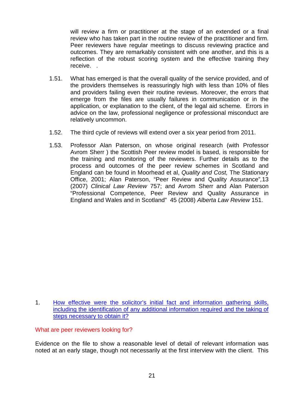will review a firm or practitioner at the stage of an extended or a final review who has taken part in the routine review of the practitioner and firm. Peer reviewers have regular meetings to discuss reviewing practice and outcomes. They are remarkably consistent with one another, and this is a reflection of the robust scoring system and the effective training they receive. .

- 1.51. What has emerged is that the overall quality of the service provided, and of the providers themselves is reassuringly high with less than 10% of files and providers failing even their routine reviews. Moreover, the errors that emerge from the files are usually failures in communication or in the application, or explanation to the client, of the legal aid scheme. Errors in advice on the law, professional negligence or professional misconduct are relatively uncommon.
- 1.52. The third cycle of reviews will extend over a six year period from 2011.
- 1.53. Professor Alan Paterson, on whose original research (with Professor Avrom Sherr ) the Scottish Peer review model is based, is responsible for the training and monitoring of the reviewers. Further details as to the process and outcomes of the peer review schemes in Scotland and England can be found in Moorhead et al, *Quality and Cost,* The Stationary Office, 2001; Alan Paterson, "Peer Review and Quality Assurance"*,*13 (2007) *Clinical Law Review* 757; and Avrom Sherr and Alan Paterson "Professional Competence, Peer Review and Quality Assurance in England and Wales and in Scotland" 45 (2008) *Alberta Law Review* 151.

What are peer reviewers looking for?

Evidence on the file to show a reasonable level of detail of relevant information was noted at an early stage, though not necessarily at the first interview with the client. This

<sup>1.</sup> How effective were the solicitor's initial fact and information gathering skills, including the identification of any additional information required and the taking of steps necessary to obtain it?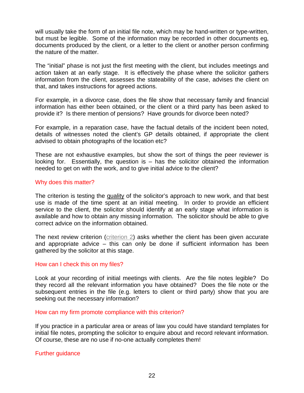will usually take the form of an initial file note, which may be hand-written or type-written, but must be legible. Some of the information may be recorded in other documents eg, documents produced by the client, or a letter to the client or another person confirming the nature of the matter.

The "initial" phase is not just the first meeting with the client, but includes meetings and action taken at an early stage. It is effectively the phase where the solicitor gathers information from the client, assesses the stateability of the case, advises the client on that, and takes instructions for agreed actions.

For example, in a divorce case, does the file show that necessary family and financial information has either been obtained, or the client or a third party has been asked to provide it? Is there mention of pensions? Have grounds for divorce been noted?

For example, in a reparation case, have the factual details of the incident been noted, details of witnesses noted the client's GP details obtained, if appropriate the client advised to obtain photographs of the location etc?

These are not exhaustive examples, but show the sort of things the peer reviewer is looking for. Essentially, the question is – has the solicitor obtained the information needed to get on with the work, and to give initial advice to the client?

#### Why does this matter?

The criterion is testing the quality of the solicitor's approach to new work, and that best use is made of the time spent at an initial meeting. In order to provide an efficient service to the client, the solicitor should identify at an early stage what information is available and how to obtain any missing information. The solicitor should be able to give correct advice on the information obtained.

The next review criterion (criterion 2) asks whether the client has been given accurate and appropriate advice – this can only be done if sufficient information has been gathered by the solicitor at this stage.

#### How can I check this on my files?

Look at your recording of initial meetings with clients. Are the file notes legible? Do they record all the relevant information you have obtained? Does the file note or the subsequent entries in the file (e.g. letters to client or third party) show that you are seeking out the necessary information?

#### How can my firm promote compliance with this criterion?

If you practice in a particular area or areas of law you could have standard templates for initial file notes, prompting the solicitor to enquire about and record relevant information. Of course, these are no use if no-one actually completes them!

#### Further guidance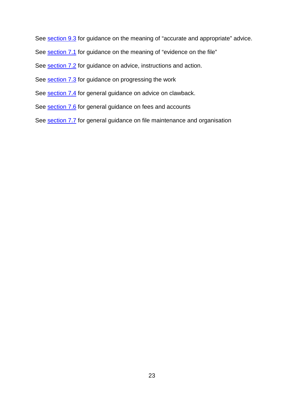See section 9.3 for guidance on the meaning of "accurate and appropriate" advice.

See section 7.1 for guidance on the meaning of "evidence on the file"

See section 7.2 for guidance on advice, instructions and action.

See section 7.3 for guidance on progressing the work

See section 7.4 for general guidance on advice on clawback.

See section 7.6 for general guidance on fees and accounts

See section 7.7 for general guidance on file maintenance and organisation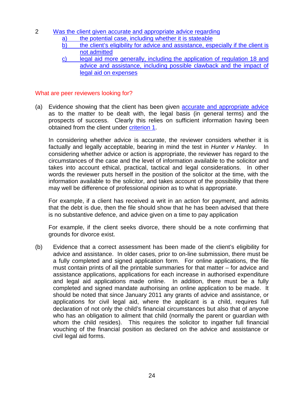- 2 Was the client given accurate and appropriate advice regarding
	- a) the potential case, including whether it is stateable
	- b) the client's eligibility for advice and assistance, especially if the client is not admitted
	- c) legal aid more generally, including the application of regulation 18 and advice and assistance, including possible clawback and the impact of legal aid on expenses

# What are peer reviewers looking for?

(a) Evidence showing that the client has been given **accurate and appropriate advice** as to the matter to be dealt with, the legal basis (in general terms) and the prospects of success. Clearly this relies on sufficient information having been obtained from the client under criterion 1.

In considering whether advice is accurate, the reviewer considers whether it is factually and legally acceptable, bearing in mind the test in *Hunter v Hanley*. In considering whether advice or action is appropriate, the reviewer has regard to the circumstances of the case and the level of information available to the solicitor and takes into account ethical, practical, tactical and legal considerations. In other words the reviewer puts herself in the position of the solicitor at the time, with the information available to the solicitor, and takes account of the possibility that there may well be difference of professional opinion as to what is appropriate.

For example, if a client has received a writ in an action for payment, and admits that the debt is due, then the file should show that he has been advised that there is no substantive defence, and advice given on a time to pay application

For example, if the client seeks divorce, there should be a note confirming that grounds for divorce exist.

(b) Evidence that a correct assessment has been made of the client's eligibility for advice and assistance. In older cases, prior to on-line submission, there must be a fully completed and signed application form. For online applications, the file must contain prints of all the printable summaries for that matter – for advice and assistance applications, applications for each increase in authorised expenditure and legal aid applications made online. In addition, there must be a fully completed and signed mandate authorising an online application to be made. It should be noted that since January 2011 any grants of advice and assistance, or applications for civil legal aid, where the applicant is a child, requires full declaration of not only the child's financial circumstances but also that of anyone who has an obligation to ailment that child (normally the parent or guardian with whom the child resides). This requires the solicitor to ingather full financial vouching of the financial position as declared on the advice and assistance or civil legal aid forms.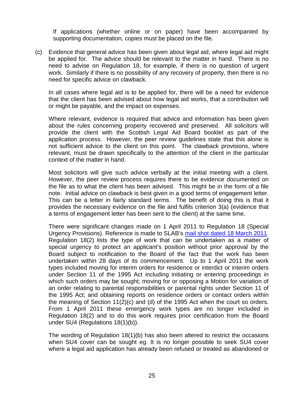If applications (whether online or on paper) have been accompanied by supporting documentation, copies must be placed on the file.

(c) Evidence that general advice has been given about legal aid, where legal aid might be applied for. The advice should be relevant to the matter in hand. There is no need to advise on Regulation 18, for example, if there is no question of urgent work. Similarly if there is no possibility of any recovery of property, then there is no need for specific advice on clawback.

In all cases where legal aid is to be applied for, there will be a need for evidence that the client has been advised about how legal aid works, that a contribution will or might be payable, and the impact on expenses.

Where relevant, evidence is required that advice and information has been given about the rules concerning property recovered and preserved. All solicitors will provide the client with the Scottish Legal Aid Board booklet as part of the application process. However, the peer review guidelines state that this alone is not sufficient advice to the client on this point. The clawback provisions, where relevant, must be drawn specifically to the attention of the client in the particular context of the matter in hand.

Most solicitors will give such advice verbally at the initial meeting with a client. However, the peer review process requires there to be evidence documented on the file as to what the client has been advised. This might be in the form of a file note. Initial advice on clawback is best given in a good terms of engagement letter. This can be a letter in fairly standard terms. The benefit of doing this is that it provides the necessary evidence on the file and fulfils criterion 3(a) (evidence that a terms of engagement letter has been sent to the client) at the same time.

There were significant changes made on 1 April 2011 to Regulation 18 (Special Urgency Provisions). Reference is made to SLAB's [mail shot dated 18 March 2011.](http://www.slab.org.uk/common/documents/profession/mailshots/2011/SECOND_CIVIL_PACKAGE_-_FINAL_VERSION_-_18_MAR_2011.pdf) Regulation 18(2) lists the type of work that can be undertaken as a matter of special urgency to protect an applicant's position without prior approval by the Board subject to notification to the Board of the fact that the work has been undertaken within 28 days of its commencement. Up to 1 April 2011 the work types included moving for interim orders for residence or interdict or interim orders under Section 11 of the 1995 Act including initiating or entering proceedings in which such orders may be sought; moving for or opposing a Motion for variation of an order relating to parental responsibilities or parental rights under Section 11 of the 1995 Act; and obtaining reports on residence orders or contact orders within the meaning of Section 11(2)(c) and (d) of the 1995 Act when the court so orders. From 1 April 2011 these emergency work types are no longer included in Regulation 18(2) and to do this work requires prior certification from the Board under SU4 (Regulations 18(1)(b)).

The wording of Regulation 18(1)(b) has also been altered to restrict the occasions when SU4 cover can be sought eg. It is no longer possible to seek SU4 cover where a legal aid application has already been refused or treated as abandoned or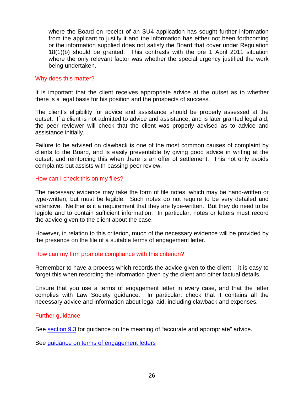where the Board on receipt of an SU4 application has sought further information from the applicant to justify it and the information has either not been forthcoming or the information supplied does not satisfy the Board that cover under Regulation 18(1)(b) should be granted. This contrasts with the pre 1 April 2011 situation where the only relevant factor was whether the special urgency justified the work being undertaken.

# Why does this matter?

It is important that the client receives appropriate advice at the outset as to whether there is a legal basis for his position and the prospects of success.

The client's eligibility for advice and assistance should be properly assessed at the outset. If a client is not admitted to advice and assistance, and is later granted legal aid, the peer reviewer will check that the client was properly advised as to advice and assistance initially.

Failure to be advised on clawback is one of the most common causes of complaint by clients to the Board, and is easily preventable by giving good advice in writing at the outset, and reinforcing this when there is an offer of settlement. This not only avoids complaints but assists with passing peer review.

# How can I check this on my files?

The necessary evidence may take the form of file notes, which may be hand-written or type-written, but must be legible. Such notes do not require to be very detailed and extensive. Neither is it a requirement that they are type-written. But they do need to be legible and to contain sufficient information. In particular, notes or letters must record the advice given to the client about the case.

However, in relation to this criterion, much of the necessary evidence will be provided by the presence on the file of a suitable terms of engagement letter.

# How can my firm promote compliance with this criterion?

Remember to have a process which records the advice given to the client – it is easy to forget this when recording the information given by the client and other factual details.

Ensure that you use a terms of engagement letter in every case, and that the letter complies with Law Society guidance. In particular, check that it contains all the necessary advice and information about legal aid, including clawback and expenses.

#### Further guidance

See section 9.3 for guidance on the meaning of "accurate and appropriate" advice.

See [guidance on terms of engagement letters](#page-49-0)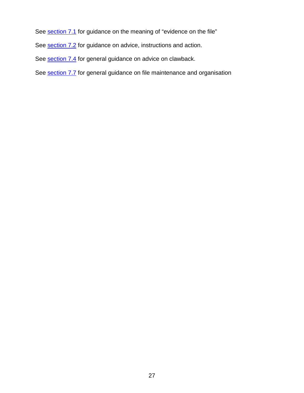See section 7.1 for guidance on the meaning of "evidence on the file"

See section 7.2 for guidance on advice, instructions and action.

See section 7.4 for general guidance on advice on clawback.

See section 7.7 for general guidance on file maintenance and organisation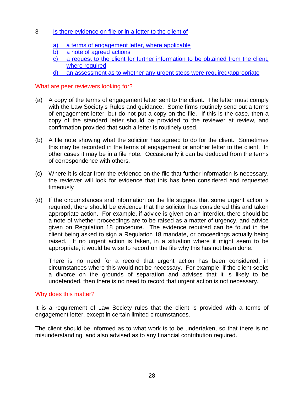# 3 Is there evidence on file or in a letter to the client of

- a) a terms of engagement letter, where applicable
- b) a note of agreed actions
- c) a request to the client for further information to be obtained from the client, where required
- d) an assessment as to whether any urgent steps were required/appropriate

# What are peer reviewers looking for?

- (a) A copy of the terms of engagement letter sent to the client. The letter must comply with the Law Society's Rules and guidance. Some firms routinely send out a terms of engagement letter, but do not put a copy on the file. If this is the case, then a copy of the standard letter should be provided to the reviewer at review, and confirmation provided that such a letter is routinely used.
- (b) A file note showing what the solicitor has agreed to do for the client. Sometimes this may be recorded in the terms of engagement or another letter to the client. In other cases it may be in a file note. Occasionally it can be deduced from the terms of correspondence with others.
- (c) Where it is clear from the evidence on the file that further information is necessary, the reviewer will look for evidence that this has been considered and requested timeously
- (d) If the circumstances and information on the file suggest that some urgent action is required, there should be evidence that the solicitor has considered this and taken appropriate action. For example, if advice is given on an interdict, there should be a note of whether proceedings are to be raised as a matter of urgency, and advice given on Regulation 18 procedure. The evidence required can be found in the client being asked to sign a Regulation 18 mandate, or proceedings actually being raised. If no urgent action is taken, in a situation where it might seem to be appropriate, it would be wise to record on the file why this has not been done.

There is no need for a record that urgent action has been considered, in circumstances where this would not be necessary. For example, if the client seeks a divorce on the grounds of separation and advises that it is likely to be undefended, then there is no need to record that urgent action is not necessary.

#### Why does this matter?

It is a requirement of Law Society rules that the client is provided with a terms of engagement letter, except in certain limited circumstances.

The client should be informed as to what work is to be undertaken, so that there is no misunderstanding, and also advised as to any financial contribution required.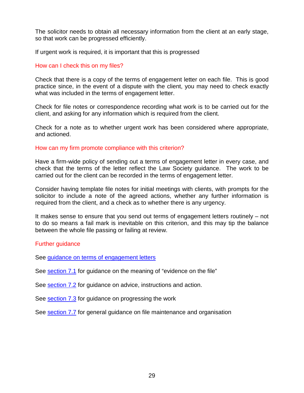The solicitor needs to obtain all necessary information from the client at an early stage, so that work can be progressed efficiently.

If urgent work is required, it is important that this is progressed

# How can I check this on my files?

Check that there is a copy of the terms of engagement letter on each file. This is good practice since, in the event of a dispute with the client, you may need to check exactly what was included in the terms of engagement letter.

Check for file notes or correspondence recording what work is to be carried out for the client, and asking for any information which is required from the client.

Check for a note as to whether urgent work has been considered where appropriate, and actioned.

#### How can my firm promote compliance with this criterion?

Have a firm-wide policy of sending out a terms of engagement letter in every case, and check that the terms of the letter reflect the Law Society guidance. The work to be carried out for the client can be recorded in the terms of engagement letter.

Consider having template file notes for initial meetings with clients, with prompts for the solicitor to include a note of the agreed actions, whether any further information is required from the client, and a check as to whether there is any urgency.

It makes sense to ensure that you send out terms of engagement letters routinely – not to do so means a fail mark is inevitable on this criterion, and this may tip the balance between the whole file passing or failing at review.

#### Further guidance

See [guidance on terms of engagement letters](#page-49-0)

See section 7.1 for guidance on the meaning of "evidence on the file"

See section 7.2 for guidance on advice, instructions and action.

See section 7.3 for guidance on progressing the work

See section 7.7 for general guidance on file maintenance and organisation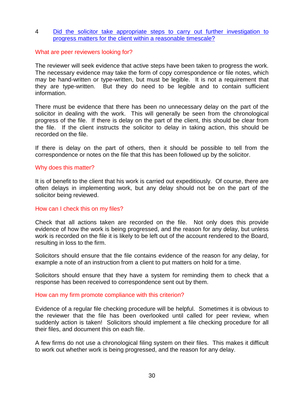# 4 Did the solicitor take appropriate steps to carry out further investigation to progress matters for the client within a reasonable timescale?

#### What are peer reviewers looking for?

The reviewer will seek evidence that active steps have been taken to progress the work. The necessary evidence may take the form of copy correspondence or file notes, which may be hand-written or type-written, but must be legible. It is not a requirement that they are type-written. But they do need to be legible and to contain sufficient information.

There must be evidence that there has been no unnecessary delay on the part of the solicitor in dealing with the work. This will generally be seen from the chronological progress of the file. If there is delay on the part of the client, this should be clear from the file. If the client instructs the solicitor to delay in taking action, this should be recorded on the file.

If there is delay on the part of others, then it should be possible to tell from the correspondence or notes on the file that this has been followed up by the solicitor.

#### Why does this matter?

It is of benefit to the client that his work is carried out expeditiously. Of course, there are often delays in implementing work, but any delay should not be on the part of the solicitor being reviewed.

# How can I check this on my files?

Check that all actions taken are recorded on the file. Not only does this provide evidence of how the work is being progressed, and the reason for any delay, but unless work is recorded on the file it is likely to be left out of the account rendered to the Board, resulting in loss to the firm.

Solicitors should ensure that the file contains evidence of the reason for any delay, for example a note of an instruction from a client to put matters on hold for a time.

Solicitors should ensure that they have a system for reminding them to check that a response has been received to correspondence sent out by them.

#### How can my firm promote compliance with this criterion?

Evidence of a regular file checking procedure will be helpful. Sometimes it is obvious to the reviewer that the file has been overlooked until called for peer review, when suddenly action is taken! Solicitors should implement a file checking procedure for all their files, and document this on each file.

A few firms do not use a chronological filing system on their files. This makes it difficult to work out whether work is being progressed, and the reason for any delay.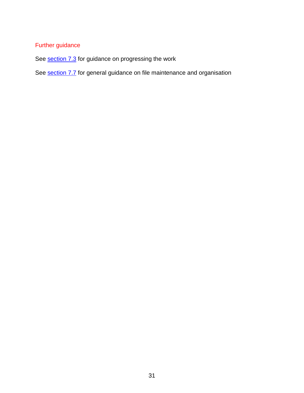# Further guidance

See section 7.3 for guidance on progressing the work

See section 7.7 for general guidance on file maintenance and organisation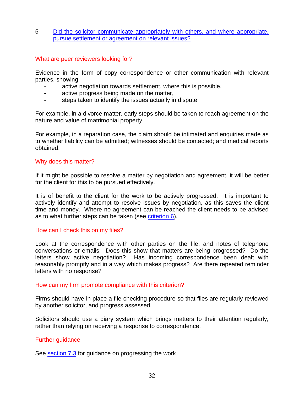5 Did the solicitor communicate appropriately with others, and where appropriate, pursue settlement or agreement on relevant issues?

#### What are peer reviewers looking for?

Evidence in the form of copy correspondence or other communication with relevant parties, showing

- active negotiation towards settlement, where this is possible,
- active progress being made on the matter,
- steps taken to identify the issues actually in dispute

For example, in a divorce matter, early steps should be taken to reach agreement on the nature and value of matrimonial property.

For example, in a reparation case, the claim should be intimated and enquiries made as to whether liability can be admitted; witnesses should be contacted; and medical reports obtained.

# Why does this matter?

If it might be possible to resolve a matter by negotiation and agreement, it will be better for the client for this to be pursued effectively.

It is of benefit to the client for the work to be actively progressed. It is important to actively identify and attempt to resolve issues by negotiation, as this saves the client time and money. Where no agreement can be reached the client needs to be advised as to what further steps can be taken (see criterion 6).

#### How can I check this on my files?

Look at the correspondence with other parties on the file, and notes of telephone conversations or emails. Does this show that matters are being progressed? Do the letters show active negotiation? Has incoming correspondence been dealt with reasonably promptly and in a way which makes progress? Are there repeated reminder letters with no response?

#### How can my firm promote compliance with this criterion?

Firms should have in place a file-checking procedure so that files are regularly reviewed by another solicitor, and progress assessed.

Solicitors should use a diary system which brings matters to their attention regularly, rather than relying on receiving a response to correspondence.

#### Further guidance

See section 7.3 for guidance on progressing the work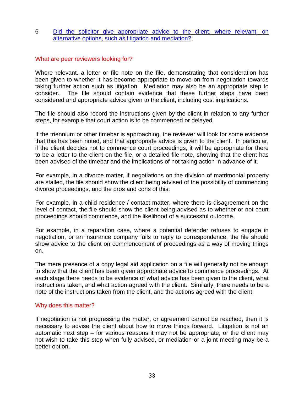# 6 Did the solicitor give appropriate advice to the client, where relevant, on alternative options, such as litigation and mediation?

# What are peer reviewers looking for?

Where relevant. a letter or file note on the file, demonstrating that consideration has been given to whether it has become appropriate to move on from negotiation towards taking further action such as litigation. Mediation may also be an appropriate step to consider. The file should contain evidence that these further steps have been considered and appropriate advice given to the client, including cost implications.

The file should also record the instructions given by the client in relation to any further steps, for example that court action is to be commenced or delayed.

If the triennium or other timebar is approaching, the reviewer will look for some evidence that this has been noted, and that appropriate advice is given to the client. In particular, if the client decides not to commence court proceedings, it will be appropriate for there to be a letter to the client on the file, or a detailed file note, showing that the client has been advised of the timebar and the implications of not taking action in advance of it.

For example, in a divorce matter, if negotiations on the division of matrimonial property are stalled, the file should show the client being advised of the possibility of commencing divorce proceedings, and the pros and cons of this.

For example, in a child residence / contact matter, where there is disagreement on the level of contact, the file should show the client being advised as to whether or not court proceedings should commence, and the likelihood of a successful outcome.

For example, in a reparation case, where a potential defender refuses to engage in negotiation, or an insurance company fails to reply to correspondence, the file should show advice to the client on commencement of proceedings as a way of moving things on.

The mere presence of a copy legal aid application on a file will generally not be enough to show that the client has been given appropriate advice to commence proceedings. At each stage there needs to be evidence of what advice has been given to the client, what instructions taken, and what action agreed with the client. Similarly, there needs to be a note of the instructions taken from the client, and the actions agreed with the client.

#### Why does this matter?

If negotiation is not progressing the matter, or agreement cannot be reached, then it is necessary to advise the client about how to move things forward. Litigation is not an automatic next step – for various reasons it may not be appropriate, or the client may not wish to take this step when fully advised, or mediation or a joint meeting may be a better option.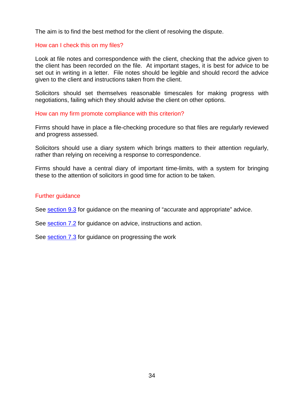The aim is to find the best method for the client of resolving the dispute.

# How can I check this on my files?

Look at file notes and correspondence with the client, checking that the advice given to the client has been recorded on the file. At important stages, it is best for advice to be set out in writing in a letter. File notes should be legible and should record the advice given to the client and instructions taken from the client.

Solicitors should set themselves reasonable timescales for making progress with negotiations, failing which they should advise the client on other options.

# How can my firm promote compliance with this criterion?

Firms should have in place a file-checking procedure so that files are regularly reviewed and progress assessed.

Solicitors should use a diary system which brings matters to their attention regularly, rather than relying on receiving a response to correspondence.

Firms should have a central diary of important time-limits, with a system for bringing these to the attention of solicitors in good time for action to be taken.

#### Further guidance

See section 9.3 for guidance on the meaning of "accurate and appropriate" advice.

See section 7.2 for guidance on advice, instructions and action.

See section 7.3 for guidance on progressing the work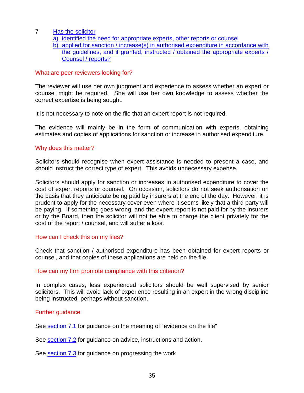- 7 Has the solicitor
	- a) identified the need for appropriate experts, other reports or counsel
	- b) applied for sanction / increase(s) in authorised expenditure in accordance with the guidelines, and if granted, instructed / obtained the appropriate experts / Counsel / reports?

# What are peer reviewers looking for?

The reviewer will use her own judgment and experience to assess whether an expert or counsel might be required. She will use her own knowledge to assess whether the correct expertise is being sought.

It is not necessary to note on the file that an expert report is not required.

The evidence will mainly be in the form of communication with experts, obtaining estimates and copies of applications for sanction or increase in authorised expenditure.

# Why does this matter?

Solicitors should recognise when expert assistance is needed to present a case, and should instruct the correct type of expert. This avoids unnecessary expense.

Solicitors should apply for sanction or increases in authorised expenditure to cover the cost of expert reports or counsel. On occasion, solicitors do not seek authorisation on the basis that they anticipate being paid by insurers at the end of the day. However, it is prudent to apply for the necessary cover even where it seems likely that a third party will be paying. If something goes wrong, and the expert report is not paid for by the insurers or by the Board, then the solicitor will not be able to charge the client privately for the cost of the report / counsel, and will suffer a loss.

# How can I check this on my files?

Check that sanction / authorised expenditure has been obtained for expert reports or counsel, and that copies of these applications are held on the file.

#### How can my firm promote compliance with this criterion?

In complex cases, less experienced solicitors should be well supervised by senior solicitors. This will avoid lack of experience resulting in an expert in the wrong discipline being instructed, perhaps without sanction.

# Further guidance

See section 7.1 for quidance on the meaning of "evidence on the file"

See section 7.2 for guidance on advice, instructions and action.

See section 7.3 for guidance on progressing the work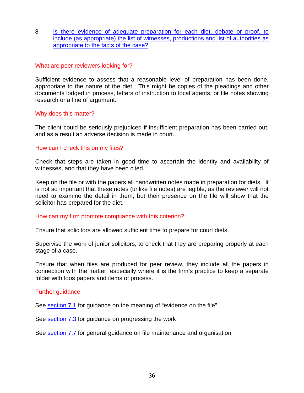8 Is there evidence of adequate preparation for each diet, debate or proof, to include (as appropriate) the list of witnesses, productions and list of authorities as appropriate to the facts of the case?

#### What are peer reviewers looking for?

Sufficient evidence to assess that a reasonable level of preparation has been done, appropriate to the nature of the diet. This might be copies of the pleadings and other documents lodged in process, letters of instruction to local agents, or file notes showing research or a line of argument.

# Why does this matter?

The client could be seriously prejudiced if insufficient preparation has been carried out, and as a result an adverse decision is made in court.

#### How can I check this on my files?

Check that steps are taken in good time to ascertain the identity and availability of witnesses, and that they have been cited.

Keep on the file or with the papers all handwritten notes made in preparation for diets. It is not so important that these notes (unlike file notes) are legible, as the reviewer will not need to examine the detail in them, but their presence on the file will show that the solicitor has prepared for the diet.

#### How can my firm promote compliance with this criterion?

Ensure that solicitors are allowed sufficient time to prepare for court diets.

Supervise the work of junior solicitors, to check that they are preparing properly at each stage of a case.

Ensure that when files are produced for peer review, they include all the papers in connection with the matter, especially where it is the firm's practice to keep a separate folder with loos papers and items of process.

#### Further guidance

See section 7.1 for guidance on the meaning of "evidence on the file"

See section 7.3 for guidance on progressing the work

See section 7.7 for general guidance on file maintenance and organisation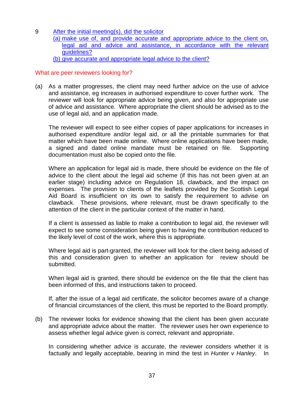- 9 After the initial meeting(s), did the solicitor
	- (a) make use of, and provide accurate and appropriate advice to the client on, legal aid and advice and assistance, in accordance with the relevant guidelines?
	- (b) give accurate and appropriate legal advice to the client?

# What are peer reviewers looking for?

(a) As a matter progresses, the client may need further advice on the use of advice and assistance, eg increases in authorised expenditure to cover further work. The reviewer will look for appropriate advice being given, and also for appropriate use of advice and assistance. Where appropriate the client should be advised as to the use of legal aid, and an application made.

The reviewer will expect to see either copies of paper applications for increases in authorised expenditure and/or legal aid, or all the printable summaries for that matter which have been made online. Where online applications have been made, a signed and dated online mandate must be retained on file. Supporting documentation must also be copied onto the file.

Where an application for legal aid is made, there should be evidence on the file of advice to the client about the legal aid scheme (if this has not been given at an earlier stage) including advice on Regulation 18, clawback, and the impact on expenses. The provision to clients of the leaflets provided by the Scottish Legal Aid Board is insufficient on its own to satisfy the requirement to advise on clawback. These provisions, where relevant, must be drawn specifically to the attention of the client in the particular context of the matter in hand.

If a client is assessed as liable to make a contribution to legal aid, the reviewer will expect to see some consideration being given to having the contribution reduced to the likely level of cost of the work, where this is appropriate.

Where legal aid is part-granted, the reviewer will look for the client being advised of this and consideration given to whether an application for review should be submitted.

When legal aid is granted, there should be evidence on the file that the client has been informed of this, and instructions taken to proceed.

If, after the issue of a legal aid certificate, the solicitor becomes aware of a change of financial circumstances of the client, this must be reported to the Board promptly.

(b) The reviewer looks for evidence showing that the client has been given accurate and appropriate advice about the matter. The reviewer uses her own experience to assess whether legal advice given is correct, relevant and appropriate.

In considering whether advice is accurate, the reviewer considers whether it is factually and legally acceptable, bearing in mind the test in *Hunter v Hanley*. In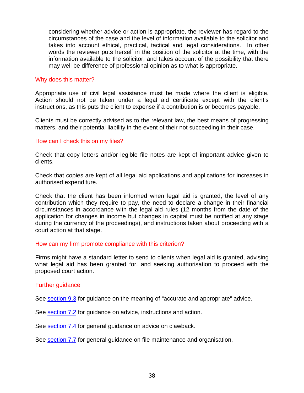considering whether advice or action is appropriate, the reviewer has regard to the circumstances of the case and the level of information available to the solicitor and takes into account ethical, practical, tactical and legal considerations. In other words the reviewer puts herself in the position of the solicitor at the time, with the information available to the solicitor, and takes account of the possibility that there may well be difference of professional opinion as to what is appropriate.

# Why does this matter?

Appropriate use of civil legal assistance must be made where the client is eligible. Action should not be taken under a legal aid certificate except with the client's instructions, as this puts the client to expense if a contribution is or becomes payable.

Clients must be correctly advised as to the relevant law, the best means of progressing matters, and their potential liability in the event of their not succeeding in their case.

#### How can I check this on my files?

Check that copy letters and/or legible file notes are kept of important advice given to clients.

Check that copies are kept of all legal aid applications and applications for increases in authorised expenditure.

Check that the client has been informed when legal aid is granted, the level of any contribution which they require to pay, the need to declare a change in their financial circumstances in accordance with the legal aid rules (12 months from the date of the application for changes in income but changes in capital must be notified at any stage during the currency of the proceedings), and instructions taken about proceeding with a court action at that stage.

#### How can my firm promote compliance with this criterion?

Firms might have a standard letter to send to clients when legal aid is granted, advising what legal aid has been granted for, and seeking authorisation to proceed with the proposed court action.

#### Further guidance

See section 9.3 for guidance on the meaning of "accurate and appropriate" advice.

See section 7.2 for guidance on advice, instructions and action.

See section 7.4 for general guidance on advice on clawback.

See section 7.7 for general guidance on file maintenance and organisation.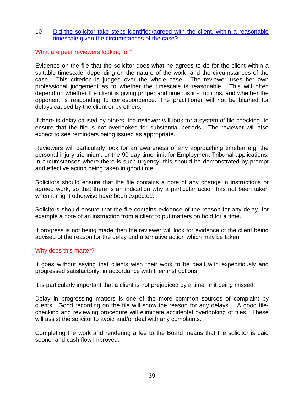# 10 Did the solicitor take steps identified/agreed with the client, within a reasonable timescale given the circumstances of the case?

# What are peer reviewers looking for?

Evidence on the file that the solicitor does what he agrees to do for the client within a suitable timescale, depending on the nature of the work, and the circumstances of the case. This criterion is judged over the whole case. The reviewer uses her own professional judgement as to whether the timescale is reasonable. This will often depend on whether the client is giving proper and timeous instructions, and whether the opponent is responding to correspondence. The practitioner will not be blamed for delays caused by the client or by others.

If there is delay caused by others, the reviewer will look for a system of file checking to ensure that the file is not overlooked for substantial periods. The reviewer will also expect to see reminders being issued as appropriate.

Reviewers will particularly look for an awareness of any approaching timebar e.g. the personal injury triennium, or the 90-day time limit for Employment Tribunal applications. In circumstances where there is such urgency, this should be demonstrated by prompt and effective action being taken in good time.

Solicitors should ensure that the file contains a note of any change in instructions or agreed work, so that there is an indication why a particular action has not been taken when it might otherwise have been expected.

Solicitors should ensure that the file contains evidence of the reason for any delay, for example a note of an instruction from a client to put matters on hold for a time.

If progress is not being made then the reviewer will look for evidence of the client being advised of the reason for the delay and alternative action which may be taken.

#### Why does this matter?

It goes without saying that clients wish their work to be dealt with expeditiously and progressed satisfactorily, in accordance with their instructions.

It is particularly important that a client is not prejudiced by a time limit being missed.

Delay in progressing matters is one of the more common sources of complaint by clients. Good recording on the file will show the reason for any delays. A good filechecking and reviewing procedure will eliminate accidental overlooking of files. These will assist the solicitor to avoid and/or deal with any complaints.

Completing the work and rendering a fee to the Board means that the solicitor is paid sooner and cash flow improved.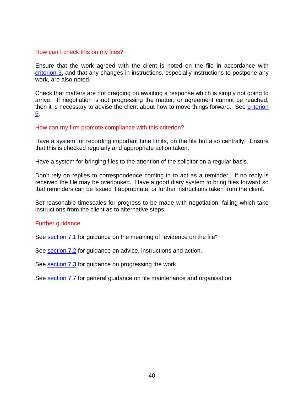#### How can I check this on my files?

Ensure that the work agreed with the client is noted on the file in accordance with criterion 3, and that any changes in instructions, especially instructions to postpone any work, are also noted.

Check that matters are not dragging on awaiting a response which is simply not going to arrive. If negotiation is not progressing the matter, or agreement cannot be reached, then it is necessary to advise the client about how to move things forward. See criterion 6.

# How can my firm promote compliance with this criterion?

Have a system for recording important time limits, on the file but also centrally. Ensure that this is checked regularly and appropriate action taken.

Have a system for bringing files to the attention of the solicitor on a regular basis.

Don't rely on replies to correspondence coming in to act as a reminder. If no reply is received the file may be overlooked. Have a good diary system to bring files forward so that reminders can be issued if appropriate, or further instructions taken from the client.

Set reasonable timescales for progress to be made with negotiation, failing which take instructions from the client as to alternative steps.

#### Further guidance

See section 7.1 for guidance on the meaning of "evidence on the file"

See section 7.2 for guidance on advice, instructions and action.

See section 7.3 for guidance on progressing the work

See section 7.7 for general guidance on file maintenance and organisation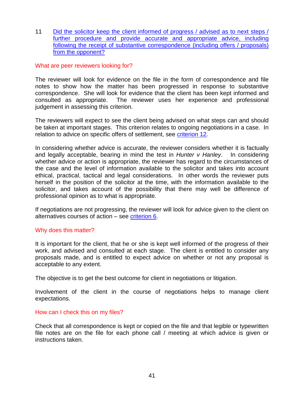11 Did the solicitor keep the client informed of progress / advised as to next steps / further procedure and provide accurate and appropriate advice, including following the receipt of substantive correspondence (including offers / proposals) from the opponent?

# What are peer reviewers looking for?

The reviewer will look for evidence on the file in the form of correspondence and file notes to show how the matter has been progressed in response to substantive correspondence. She will look for evidence that the client has been kept informed and consulted as appropriate. The reviewer uses her experience and professional judgement in assessing this criterion.

The reviewers will expect to see the client being advised on what steps can and should be taken at important stages. This criterion relates to ongoing negotiations in a case. In relation to advice on specific offers of settlement, see criterion 12.

In considering whether advice is accurate, the reviewer considers whether it is factually and legally acceptable, bearing in mind the test in *Hunter v Hanley*. In considering whether advice or action is appropriate, the reviewer has regard to the circumstances of the case and the level of information available to the solicitor and takes into account ethical, practical, tactical and legal considerations. In other words the reviewer puts herself in the position of the solicitor at the time, with the information available to the solicitor, and takes account of the possibility that there may well be difference of professional opinion as to what is appropriate.

If negotiations are not progressing, the reviewer will look for advice given to the client on alternatives courses of action – see criterion 6.

#### Why does this matter?

It is important for the client, that he or she is kept well informed of the progress of their work, and advised and consulted at each stage. The client is entitled to consider any proposals made, and is entitled to expect advice on whether or not any proposal is acceptable to any extent.

The objective is to get the best outcome for client in negotiations or litigation.

Involvement of the client in the course of negotiations helps to manage client expectations.

#### How can I check this on my files?

Check that all correspondence is kept or copied on the file and that legible or typewritten file notes are on the file for each phone call / meeting at which advice is given or instructions taken.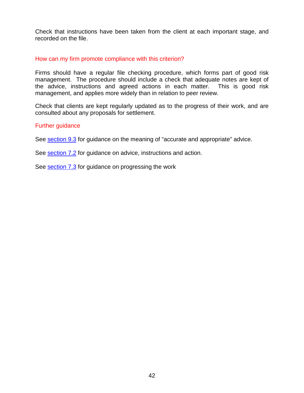Check that instructions have been taken from the client at each important stage, and recorded on the file.

# How can my firm promote compliance with this criterion?

Firms should have a regular file checking procedure, which forms part of good risk management. The procedure should include a check that adequate notes are kept of the advice, instructions and agreed actions in each matter. This is good risk management, and applies more widely than in relation to peer review.

Check that clients are kept regularly updated as to the progress of their work, and are consulted about any proposals for settlement.

# Further guidance

See section 9.3 for guidance on the meaning of "accurate and appropriate" advice.

See section 7.2 for guidance on advice, instructions and action.

See section 7.3 for guidance on progressing the work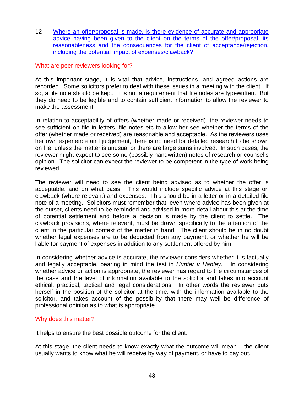12 Where an offer/proposal is made, is there evidence of accurate and appropriate advice having been given to the client on the terms of the offer/proposal, its reasonableness and the consequences for the client of acceptance/rejection, including the potential impact of expenses/clawback?

# What are peer reviewers looking for?

At this important stage, it is vital that advice, instructions, and agreed actions are recorded. Some solicitors prefer to deal with these issues in a meeting with the client. If so, a file note should be kept. It is not a requirement that file notes are typewritten. But they do need to be legible and to contain sufficient information to allow the reviewer to make the assessment.

In relation to acceptability of offers (whether made or received), the reviewer needs to see sufficient on file in letters, file notes etc to allow her see whether the terms of the offer (whether made or received) are reasonable and acceptable. As the reviewers uses her own experience and judgement, there is no need for detailed research to be shown on file, unless the matter is unusual or there are large sums involved. In such cases, the reviewer might expect to see some (possibly handwritten) notes of research or counsel's opinion. The solicitor can expect the reviewer to be competent in the type of work being reviewed.

The reviewer will need to see the client being advised as to whether the offer is acceptable, and on what basis. This would include specific advice at this stage on clawback (where relevant) and expenses. This should be in a letter or in a detailed file note of a meeting. Solicitors must remember that, even where advice has been given at the outset, clients need to be reminded and advised in more detail about this at the time of potential settlement and before a decision is made by the client to settle. The clawback provisions, where relevant, must be drawn specifically to the attention of the client in the particular context of the matter in hand. The client should be in no doubt whether legal expenses are to be deducted from any payment, or whether he will be liable for payment of expenses in addition to any settlement offered by him.

In considering whether advice is accurate, the reviewer considers whether it is factually and legally acceptable, bearing in mind the test in *Hunter v Hanley*. In considering whether advice or action is appropriate, the reviewer has regard to the circumstances of the case and the level of information available to the solicitor and takes into account ethical, practical, tactical and legal considerations. In other words the reviewer puts herself in the position of the solicitor at the time, with the information available to the solicitor, and takes account of the possibility that there may well be difference of professional opinion as to what is appropriate.

# Why does this matter?

It helps to ensure the best possible outcome for the client.

At this stage, the client needs to know exactly what the outcome will mean – the client usually wants to know what he will receive by way of payment, or have to pay out.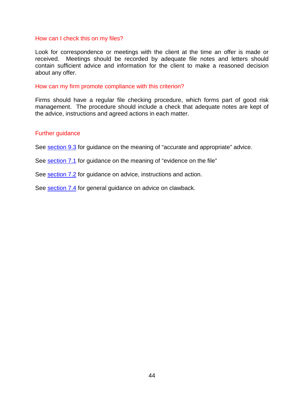#### How can I check this on my files?

Look for correspondence or meetings with the client at the time an offer is made or received. Meetings should be recorded by adequate file notes and letters should contain sufficient advice and information for the client to make a reasoned decision about any offer.

#### How can my firm promote compliance with this criterion?

Firms should have a regular file checking procedure, which forms part of good risk management. The procedure should include a check that adequate notes are kept of the advice, instructions and agreed actions in each matter.

#### Further guidance

See section 9.3 for guidance on the meaning of "accurate and appropriate" advice.

See section 7.1 for guidance on the meaning of "evidence on the file"

See section 7.2 for guidance on advice, instructions and action.

See section 7.4 for general guidance on advice on clawback.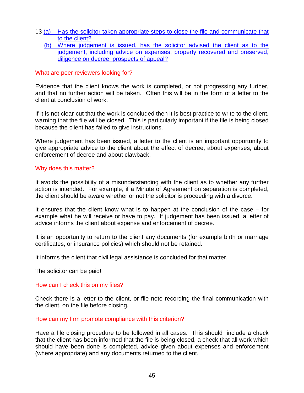- 13 (a) Has the solicitor taken appropriate steps to close the file and communicate that to the client?
	- (b) Where judgement is issued, has the solicitor advised the client as to the judgement, including advice on expenses, property recovered and preserved, diligence on decree, prospects of appeal?

# What are peer reviewers looking for?

Evidence that the client knows the work is completed, or not progressing any further, and that no further action will be taken. Often this will be in the form of a letter to the client at conclusion of work.

If it is not clear-cut that the work is concluded then it is best practice to write to the client, warning that the file will be closed. This is particularly important if the file is being closed because the client has failed to give instructions.

Where judgement has been issued, a letter to the client is an important opportunity to give appropriate advice to the client about the effect of decree, about expenses, about enforcement of decree and about clawback.

# Why does this matter?

It avoids the possibility of a misunderstanding with the client as to whether any further action is intended. For example, if a Minute of Agreement on separation is completed, the client should be aware whether or not the solicitor is proceeding with a divorce.

It ensures that the client know what is to happen at the conclusion of the case – for example what he will receive or have to pay. If judgement has been issued, a letter of advice informs the client about expense and enforcement of decree.

It is an opportunity to return to the client any documents (for example birth or marriage certificates, or insurance policies) which should not be retained.

It informs the client that civil legal assistance is concluded for that matter.

The solicitor can be paid!

# How can I check this on my files?

Check there is a letter to the client, or file note recording the final communication with the client, on the file before closing.

#### How can my firm promote compliance with this criterion?

Have a file closing procedure to be followed in all cases. This should include a check that the client has been informed that the file is being closed, a check that all work which should have been done is completed, advice given about expenses and enforcement (where appropriate) and any documents returned to the client.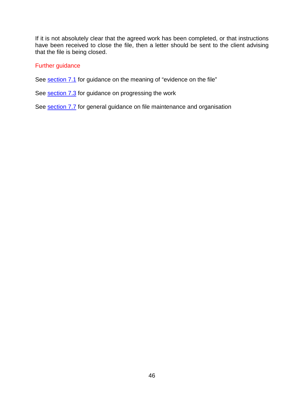If it is not absolutely clear that the agreed work has been completed, or that instructions have been received to close the file, then a letter should be sent to the client advising that the file is being closed.

# Further guidance

See section 7.1 for guidance on the meaning of "evidence on the file"

See section 7.3 for guidance on progressing the work

See section 7.7 for general guidance on file maintenance and organisation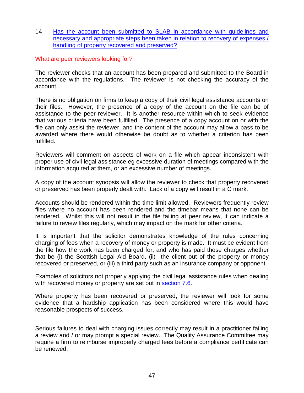14 Has the account been submitted to SLAB in accordance with guidelines and necessary and appropriate steps been taken in relation to recovery of expenses / handling of property recovered and preserved?

# What are peer reviewers looking for?

The reviewer checks that an account has been prepared and submitted to the Board in accordance with the regulations. The reviewer is not checking the accuracy of the account.

There is no obligation on firms to keep a copy of their civil legal assistance accounts on their files. However, the presence of a copy of the account on the file can be of assistance to the peer reviewer. It is another resource within which to seek evidence that various criteria have been fulfilled. The presence of a copy account on or with the file can only assist the reviewer, and the content of the account may allow a pass to be awarded where there would otherwise be doubt as to whether a criterion has been fulfilled.

Reviewers will comment on aspects of work on a file which appear inconsistent with proper use of civil legal assistance eg excessive duration of meetings compared with the information acquired at them, or an excessive number of meetings.

A copy of the account synopsis will allow the reviewer to check that property recovered or preserved has been properly dealt with. Lack of a copy will result in a C mark.

Accounts should be rendered within the time limit allowed. Reviewers frequently review files where no account has been rendered and the timebar means that none can be rendered. Whilst this will not result in the file failing at peer review, it can indicate a failure to review files regularly, which may impact on the mark for other criteria.

It is important that the solicitor demonstrates knowledge of the rules concerning charging of fees when a recovery of money or property is made. It must be evident from the file how the work has been charged for, and who has paid those charges whether that be (i) the Scottish Legal Aid Board, (ii) the client out of the property or money recovered or preserved, or (iii) a third party such as an insurance company or opponent.

Examples of solicitors not properly applying the civil legal assistance rules when dealing with recovered money or property are set out in section 7.6.

Where property has been recovered or preserved, the reviewer will look for some evidence that a hardship application has been considered where this would have reasonable prospects of success.

Serious failures to deal with charging issues correctly may result in a practitioner failing a review and / or may prompt a special review. The Quality Assurance Committee may require a firm to reimburse improperly charged fees before a compliance certificate can be renewed.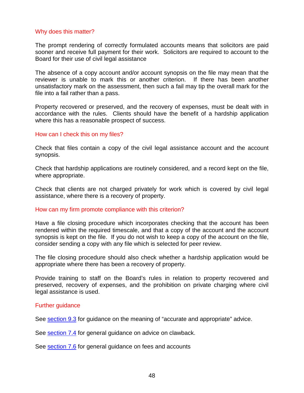#### Why does this matter?

The prompt rendering of correctly formulated accounts means that solicitors are paid sooner and receive full payment for their work. Solicitors are required to account to the Board for their use of civil legal assistance

The absence of a copy account and/or account synopsis on the file may mean that the reviewer is unable to mark this or another criterion. If there has been another unsatisfactory mark on the assessment, then such a fail may tip the overall mark for the file into a fail rather than a pass.

Property recovered or preserved, and the recovery of expenses, must be dealt with in accordance with the rules. Clients should have the benefit of a hardship application where this has a reasonable prospect of success.

#### How can I check this on my files?

Check that files contain a copy of the civil legal assistance account and the account synopsis.

Check that hardship applications are routinely considered, and a record kept on the file, where appropriate.

Check that clients are not charged privately for work which is covered by civil legal assistance, where there is a recovery of property.

#### How can my firm promote compliance with this criterion?

Have a file closing procedure which incorporates checking that the account has been rendered within the required timescale, and that a copy of the account and the account synopsis is kept on the file. If you do not wish to keep a copy of the account on the file, consider sending a copy with any file which is selected for peer review.

The file closing procedure should also check whether a hardship application would be appropriate where there has been a recovery of property.

Provide training to staff on the Board's rules in relation to property recovered and preserved, recovery of expenses, and the prohibition on private charging where civil legal assistance is used.

#### Further guidance

See section 9.3 for guidance on the meaning of "accurate and appropriate" advice.

See section 7.4 for general guidance on advice on clawback.

See section 7.6 for general guidance on fees and accounts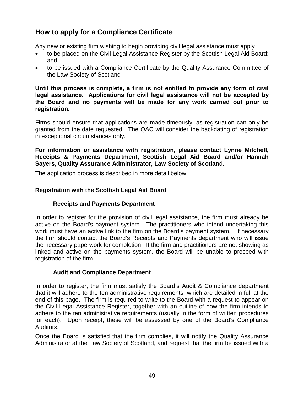# <span id="page-48-0"></span>**How to apply for a Compliance Certificate**

Any new or existing firm wishing to begin providing civil legal assistance must apply

- to be placed on the Civil Legal Assistance Register by the Scottish Legal Aid Board; and
- to be issued with a Compliance Certificate by the Quality Assurance Committee of the Law Society of Scotland

**Until this process is complete, a firm is not entitled to provide any form of civil legal assistance. Applications for civil legal assistance will not be accepted by the Board and no payments will be made for any work carried out prior to registration.**

Firms should ensure that applications are made timeously, as registration can only be granted from the date requested. The QAC will consider the backdating of registration in exceptional circumstances only.

# **For information or assistance with registration, please contact Lynne Mitchell, Receipts & Payments Department, Scottish Legal Aid Board and/or Hannah Sayers, Quality Assurance Administrator, Law Society of Scotland.**

The application process is described in more detail below.

# **Registration with the Scottish Legal Aid Board**

# **Receipts and Payments Department**

In order to register for the provision of civil legal assistance, the firm must already be active on the Board's payment system. The practitioners who intend undertaking this work must have an active link to the firm on the Board's payment system. If necessary the firm should contact the Board's Receipts and Payments department who will issue the necessary paperwork for completion. If the firm and practitioners are not showing as linked and active on the payments system, the Board will be unable to proceed with registration of the firm.

# **Audit and Compliance Department**

In order to register, the firm must satisfy the Board's Audit & Compliance department that it will adhere to the ten administrative requirements, which are detailed in full at the end of this page. The firm is required to write to the Board with a request to appear on the Civil Legal Assistance Register, together with an outline of how the firm intends to adhere to the ten administrative requirements (usually in the form of written procedures for each). Upon receipt, these will be assessed by one of the Board's Compliance Auditors.

Once the Board is satisfied that the firm complies, it will notify the Quality Assurance Administrator at the Law Society of Scotland, and request that the firm be issued with a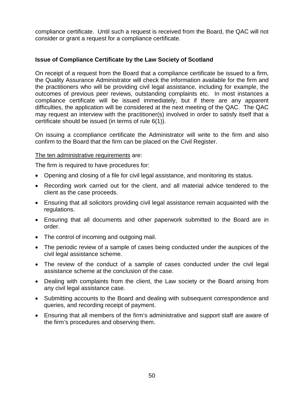compliance certificate. Until such a request is received from the Board, the QAC will not consider or grant a request for a compliance certificate.

# **Issue of Compliance Certificate by the Law Society of Scotland**

On receipt of a request from the Board that a compliance certificate be issued to a firm, the Quality Assurance Administrator will check the information available for the firm and the practitioners who will be providing civil legal assistance, including for example, the outcomes of previous peer reviews, outstanding complaints etc. In most instances a compliance certificate will be issued immediately, but if there are any apparent difficulties, the application will be considered at the next meeting of the QAC. The QAC may request an interview with the practitioner(s) involved in order to satisfy itself that a certificate should be issued (in terms of rule 6(1)).

On issuing a ccompliance certificate the Administrator will write to the firm and also confirm to the Board that the firm can be placed on the Civil Register.

# The ten administrative requirements are:

The firm is required to have procedures for:

- Opening and closing of a file for civil legal assistance, and monitoring its status.
- Recording work carried out for the client, and all material advice tendered to the client as the case proceeds.
- Ensuring that all solicitors providing civil legal assistance remain acquainted with the regulations.
- Ensuring that all documents and other paperwork submitted to the Board are in order.
- The control of incoming and outgoing mail.
- The periodic review of a sample of cases being conducted under the auspices of the civil legal assistance scheme.
- The review of the conduct of a sample of cases conducted under the civil legal assistance scheme at the conclusion of the case.
- Dealing with complaints from the client, the Law society or the Board arising from any civil legal assistance case.
- Submitting accounts to the Board and dealing with subsequent correspondence and queries, and recording receipt of payment.
- <span id="page-49-0"></span>• Ensuring that all members of the firm's administrative and support staff are aware of the firm's procedures and observing them.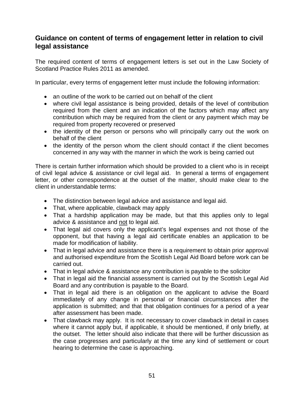# <span id="page-50-0"></span>**Guidance on content of terms of engagement letter in relation to civil legal assistance**

The required content of terms of engagement letters is set out in the Law Society of Scotland Practice Rules 2011 as amended.

In particular, every terms of engagement letter must include the following information:

- an outline of the work to be carried out on behalf of the client
- where civil legal assistance is being provided, details of the level of contribution required from the client and an indication of the factors which may affect any contribution which may be required from the client or any payment which may be required from property recovered or preserved
- the identity of the person or persons who will principally carry out the work on behalf of the client
- the identity of the person whom the client should contact if the client becomes concerned in any way with the manner in which the work is being carried out

There is certain further information which should be provided to a client who is in receipt of civil legal advice & assistance or civil legal aid. In general a terms of engagement letter, or other correspondence at the outset of the matter, should make clear to the client in understandable terms:

- The distinction between legal advice and assistance and legal aid.
- That, where applicable, clawback may apply
- That a hardship application may be made, but that this applies only to legal advice & assistance and not to legal aid.
- That legal aid covers only the applicant's legal expenses and not those of the opponent, but that having a legal aid certificate enables an application to be made for modification of liability.
- That in legal advice and assistance there is a requirement to obtain prior approval and authorised expenditure from the Scottish Legal Aid Board before work can be carried out.
- That in legal advice & assistance any contribution is payable to the solicitor
- That in legal aid the financial assessment is carried out by the Scottish Legal Aid Board and any contribution is payable to the Board.
- That in legal aid there is an obligation on the applicant to advise the Board immediately of any change in personal or financial circumstances after the application is submitted; and that that obligation continues for a period of a year after assessment has been made.
- That clawback may apply. It is not necessary to cover clawback in detail in cases where it cannot apply but, if applicable, it should be mentioned, if only briefly, at the outset. The letter should also indicate that there will be further discussion as the case progresses and particularly at the time any kind of settlement or court hearing to determine the case is approaching.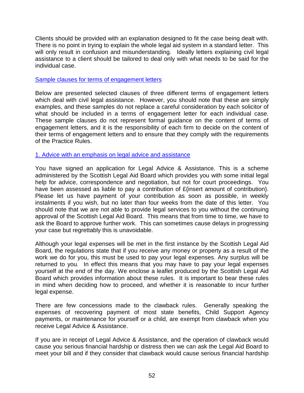Clients should be provided with an explanation designed to fit the case being dealt with. There is no point in trying to explain the whole legal aid system in a standard letter. This will only result in confusion and misunderstanding. Ideally letters explaining civil legal assistance to a client should be tailored to deal only with what needs to be said for the individual case.

# Sample clauses for terms of engagement letters

Below are presented selected clauses of three different terms of engagement letters which deal with civil legal assistance. However, you should note that these are simply examples, and these samples do not replace a careful consideration by each solicitor of what should be included in a terms of engagement letter for each individual case. These sample clauses do not represent formal guidance on the content of terms of engagement letters, and it is the responsibility of each firm to decide on the content of their terms of engagement letters and to ensure that they comply with the requirements of the Practice Rules.

# 1. Advice with an emphasis on legal advice and assistance

You have signed an application for Legal Advice & Assistance. This is a scheme administered by the Scottish Legal Aid Board which provides you with some initial legal help for advice, correspondence and negotiation, but not for court proceedings. You have been assessed as liable to pay a contribution of £{insert amount of contribution}. Please let us have payment of your contribution as soon as possible, in weekly instalments if you wish, but no later than four weeks from the date of this letter. You should note that we are not able to provide legal services to you without the continuing approval of the Scottish Legal Aid Board. This means that from time to time, we have to ask the Board to approve further work. This can sometimes cause delays in progressing your case but regrettably this is unavoidable.

Although your legal expenses will be met in the first instance by the Scottish Legal Aid Board, the regulations state that if you receive any money or property as a result of the work we do for you, this must be used to pay your legal expenses. Any surplus will be returned to you. In effect this means that you may have to pay your legal expenses yourself at the end of the day. We enclose a leaflet produced by the Scottish Legal Aid Board which provides information about these rules. It is important to bear these rules in mind when deciding how to proceed, and whether it is reasonable to incur further legal expense.

There are few concessions made to the clawback rules. Generally speaking the expenses of recovering payment of most state benefits, Child Support Agency payments, or maintenance for yourself or a child, are exempt from clawback when you receive Legal Advice & Assistance.

If you are in receipt of Legal Advice & Assistance, and the operation of clawback would cause you serious financial hardship or distress then we can ask the Legal Aid Board to meet your bill and if they consider that clawback would cause serious financial hardship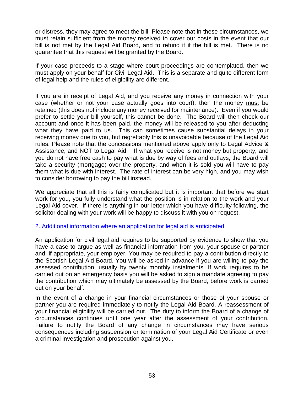or distress, they may agree to meet the bill. Please note that in these circumstances, we must retain sufficient from the money received to cover our costs in the event that our bill is not met by the Legal Aid Board, and to refund it if the bill is met. There is no guarantee that this request will be granted by the Board.

If your case proceeds to a stage where court proceedings are contemplated, then we must apply on your behalf for Civil Legal Aid. This is a separate and quite different form of legal help and the rules of eligibility are different.

If you are in receipt of Legal Aid, and you receive any money in connection with your case (whether or not your case actually goes into court), then the money must be retained (this does not include any money received for maintenance). Even if you would prefer to settle your bill yourself, this cannot be done. The Board will then check our account and once it has been paid, the money will be released to you after deducting what they have paid to us. This can sometimes cause substantial delays in your receiving money due to you, but regrettably this is unavoidable because of the Legal Aid rules. Please note that the concessions mentioned above apply only to Legal Advice & Assistance, and NOT to Legal Aid. If what you receive is not money but property, and you do not have free cash to pay what is due by way of fees and outlays, the Board will take a security (mortgage) over the property, and when it is sold you will have to pay them what is due with interest. The rate of interest can be very high, and you may wish to consider borrowing to pay the bill instead.

We appreciate that all this is fairly complicated but it is important that before we start work for you, you fully understand what the position is in relation to the work and your Legal Aid cover. If there is anything in our letter which you have difficulty following, the solicitor dealing with your work will be happy to discuss it with you on request.

#### 2. Additional information where an application for legal aid is anticipated

An application for civil legal aid requires to be supported by evidence to show that you have a case to argue as well as financial information from you, your spouse or partner and, if appropriate, your employer. You may be required to pay a contribution directly to the Scottish Legal Aid Board. You will be asked in advance if you are willing to pay the assessed contribution, usually by twenty monthly instalments. If work requires to be carried out on an emergency basis you will be asked to sign a mandate agreeing to pay the contribution which may ultimately be assessed by the Board, before work is carried out on your behalf.

In the event of a change in your financial circumstances or those of your spouse or partner you are required immediately to notify the Legal Aid Board. A reassessment of your financial eligibility will be carried out. The duty to inform the Board of a change of circumstances continues until one year after the assessment of your contribution. Failure to notify the Board of any change in circumstances may have serious consequences including suspension or termination of your Legal Aid Certificate or even a criminal investigation and prosecution against you.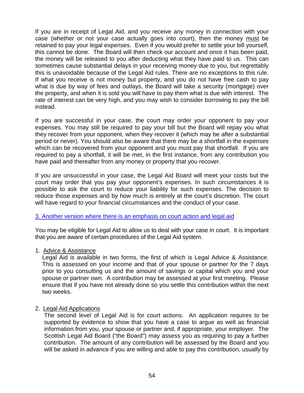If you are in receipt of Legal Aid, and you receive any money in connection with your case (whether or not your case actually goes into court), then the money must be retained to pay your legal expenses. Even if you would prefer to settle your bill yourself, this cannot be done. The Board will then check our account and once it has been paid, the money will be released to you after deducting what they have paid to us. This can sometimes cause substantial delays in your receiving money due to you, but regrettably this is unavoidable because of the Legal Aid rules. There are no exceptions to this rule. If what you receive is not money but property, and you do not have free cash to pay what is due by way of fees and outlays, the Board will take a security (mortgage) over the property, and when it is sold you will have to pay them what is due with interest. The rate of interest can be very high, and you may wish to consider borrowing to pay the bill instead.

If you are successful in your case, the court may order your opponent to pay your expenses. You may still be required to pay your bill but the Board will repay you what they recover from your opponent, when they recover it (which may be after a substantial period or never). You should also be aware that there may be a shortfall in the expenses which can be recovered from your opponent and you must pay that shortfall. If you are required to pay a shortfall, it will be met, in the first instance, from any contribution you have paid and thereafter from any money or property that you recover.

If you are unsuccessful in your case, the Legal Aid Board will meet your costs but the court may order that you pay your opponent's expenses. In such circumstances it is possible to ask the court to reduce your liability for such expenses. The decision to reduce those expenses and by how much is entirely at the court's discretion. The court will have regard to your financial circumstances and the conduct of your case.

# 3. Another version where there is an emphasis on court action and legal aid

You may be eligible for Legal Aid to allow us to deal with your case in court. It is important that you are aware of certain procedures of the Legal Aid system.

#### 1. Advice & Assistance

Legal Aid is available in two forms, the first of which is Legal Advice & Assistance. This is assessed on your income and that of your spouse or partner for the 7 days prior to you consulting us and the amount of savings or capital which you and your spouse or partner own. A contribution may be assessed at your first meeting. Please ensure that if you have not already done so you settle this contribution within the next two weeks.

# 2. Legal Aid Applications

The second level of Legal Aid is for court actions. An application requires to be supported by evidence to show that you have a case to argue as well as financial information from you, your spouse or partner and, if appropriate, your employer. The Scottish Legal Aid Board ("the Board") may assess you as requiring to pay a further contribution. The amount of any contribution will be assessed by the Board and you will be asked in advance if you are willing and able to pay this contribution, usually by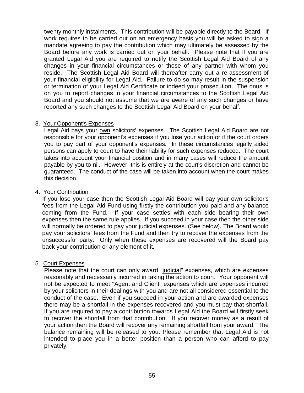twenty monthly instalments. This contribution will be payable directly to the Board. If work requires to be carried out on an emergency basis you will be asked to sign a mandate agreeing to pay the contribution which may ultimately be assessed by the Board before any work is carried out on your behalf. Please note that if you are granted Legal Aid you are required to notify the Scottish Legal Aid Board of any changes in your financial circumstances or those of any partner with whom you reside. The Scottish Legal Aid Board will thereafter carry out a re-assessment of your financial eligibility for Legal Aid. Failure to do so may result in the suspension or termination of your Legal Aid Certificate or indeed your prosecution. The onus is on you to report changes in your financial circumstances to the Scottish Legal Aid Board and you should not assume that we are aware of any such changes or have reported any such changes to the Scottish Legal Aid Board on your behalf.

# 3. Your Opponent's Expenses

Legal Aid pays your own solicitors' expenses. The Scottish Legal Aid Board are not responsible for your opponent's expenses if you lose your action or if the court orders you to pay part of your opponent's expenses. In these circumstances legally aided persons can apply to court to have their liability for such expenses reduced. The court takes into account your financial position and in many cases will reduce the amount payable by you to nil. However, this is entirely at the court's discretion and cannot be guaranteed. The conduct of the case will be taken into account when the court makes this decision.

# 4. Your Contribution

If you lose your case then the Scottish Legal Aid Board will pay your own solicitor's fees from the Legal Aid Fund using firstly the contribution you paid and any balance coming from the Fund. If your case settles with each side bearing their own expenses then the same rule applies. If you succeed in your case then the other side will normally be ordered to pay your judicial expenses. (See below). The Board would pay your solicitors' fees from the Fund and then try to recover the expenses from the unsuccessful party. Only when these expenses are recovered will the Board pay back your contribution or any element of it.

# 5. Court Expenses

Please note that the court can only award "judicial" expenses, which are expenses reasonably and necessarily incurred in taking the action to court. Your opponent will not be expected to meet "Agent and Client" expenses which are expenses incurred by your solicitors in their dealings with you and are not all considered essential to the conduct of the case. Even if you succeed in your action and are awarded expenses there may be a shortfall in the expenses recovered and you must pay that shortfall. If you are required to pay a contribution towards Legal Aid the Board will firstly seek to recover the shortfall from that contribution. If you recover money as a result of your action then the Board will recover any remaining shortfall from your award. The balance remaining will be released to you. Please remember that Legal Aid is not intended to place you in a better position than a person who can afford to pay privately.